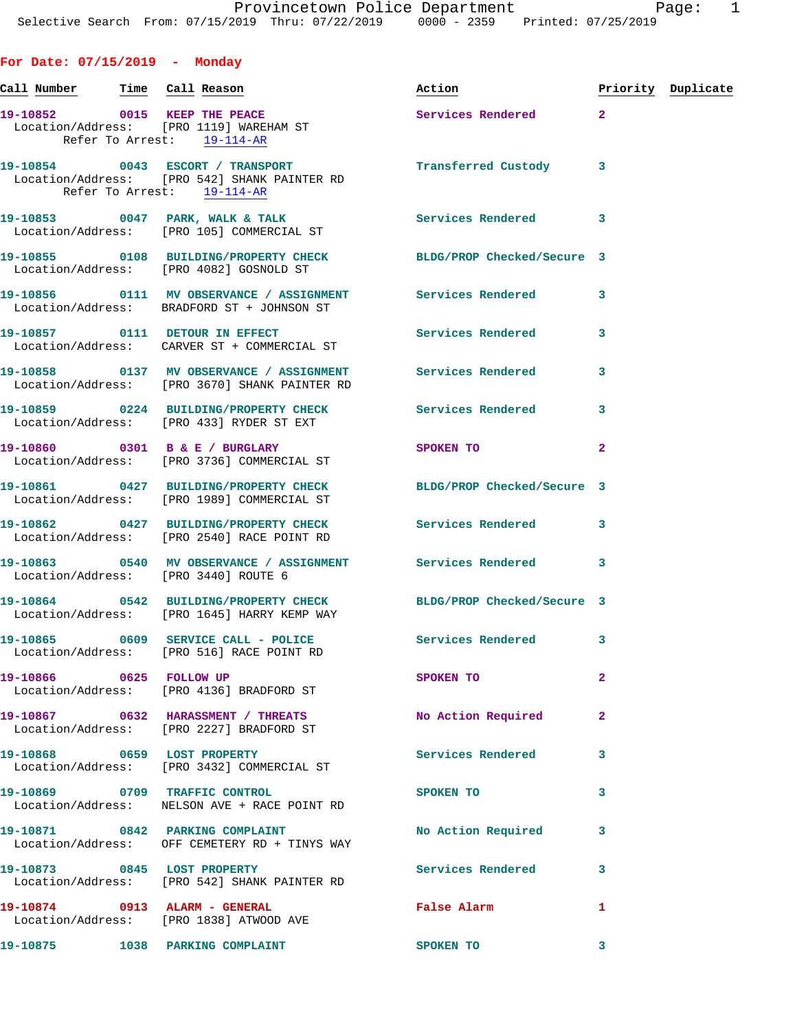## **For Date: 07/15/2019 - Monday**

| Call Number Time Call Reason |  |                                                                                                                | Action                     |              | Priority Duplicate |
|------------------------------|--|----------------------------------------------------------------------------------------------------------------|----------------------------|--------------|--------------------|
|                              |  | 19-10852 0015 KEEP THE PEACE<br>Location/Address: [PRO 1119] WAREHAM ST<br>Refer To Arrest: 19-114-AR          | Services Rendered 2        |              |                    |
|                              |  | 19-10854 0043 ESCORT / TRANSPORT<br>Location/Address: [PRO 542] SHANK PAINTER RD<br>Refer To Arrest: 19-114-AR | Transferred Custody 3      |              |                    |
|                              |  | 19-10853 0047 PARK, WALK & TALK 6 Services Rendered 3<br>Location/Address: [PRO 105] COMMERCIAL ST             |                            |              |                    |
|                              |  | 19-10855 0108 BUILDING/PROPERTY CHECK BLDG/PROP Checked/Secure 3<br>Location/Address: [PRO 4082] GOSNOLD ST    |                            |              |                    |
|                              |  | 19-10856 0111 MV OBSERVANCE / ASSIGNMENT Services Rendered 3<br>Location/Address: BRADFORD ST + JOHNSON ST     |                            |              |                    |
|                              |  | 19-10857 0111 DETOUR IN EFFECT<br>Location/Address: CARVER ST + COMMERCIAL ST                                  | Services Rendered          | 3            |                    |
|                              |  | 19-10858 0137 MV OBSERVANCE / ASSIGNMENT Services Rendered<br>Location/Address: [PRO 3670] SHANK PAINTER RD    |                            | 3            |                    |
|                              |  | 19-10859 0224 BUILDING/PROPERTY CHECK<br>Location/Address: [PRO 433] RYDER ST EXT                              | Services Rendered          | 3            |                    |
|                              |  | 19-10860 0301 B & E / BURGLARY<br>Location/Address: [PRO 3736] COMMERCIAL ST                                   | SPOKEN TO                  | $\mathbf{2}$ |                    |
|                              |  | 19-10861 0427 BUILDING/PROPERTY CHECK BLDG/PROP Checked/Secure 3<br>Location/Address: [PRO 1989] COMMERCIAL ST |                            |              |                    |
|                              |  | 19-10862 0427 BUILDING/PROPERTY CHECK Services Rendered<br>Location/Address: [PRO 2540] RACE POINT RD          |                            | 3            |                    |
|                              |  | 19-10863 0540 MV OBSERVANCE / ASSIGNMENT Services Rendered 3<br>Location/Address: [PRO 3440] ROUTE 6           |                            |              |                    |
|                              |  | 19-10864 0542 BUILDING/PROPERTY CHECK<br>Location/Address: [PRO 1645] HARRY KEMP WAY                           | BLDG/PROP Checked/Secure 3 |              |                    |
|                              |  | 19-10865 0609 SERVICE CALL - POLICE Services Rendered 3<br>Location/Address: [PRO 516] RACE POINT RD           |                            |              |                    |
| 19-10866 0625 FOLLOW UP      |  | Location/Address: [PRO 4136] BRADFORD ST                                                                       | SPOKEN TO                  | $\mathbf{2}$ |                    |
|                              |  | 19-10867 0632 HARASSMENT / THREATS<br>Location/Address: [PRO 2227] BRADFORD ST                                 | No Action Required         | -2           |                    |
|                              |  | 19-10868 0659 LOST PROPERTY<br>Location/Address: [PRO 3432] COMMERCIAL ST                                      | Services Rendered          | 3            |                    |
|                              |  | 19-10869 0709 TRAFFIC CONTROL<br>Location/Address: NELSON AVE + RACE POINT RD                                  | SPOKEN TO                  | 3            |                    |
|                              |  | 19-10871 0842 PARKING COMPLAINT<br>Location/Address: OFF CEMETERY RD + TINYS WAY                               | No Action Required         | 3            |                    |
|                              |  | 19-10873 0845 LOST PROPERTY<br>Location/Address: [PRO 542] SHANK PAINTER RD                                    | <b>Services Rendered</b>   | 3            |                    |
|                              |  | 19-10874 0913 ALARM - GENERAL<br>Location/Address: [PRO 1838] ATWOOD AVE                                       | False Alarm                | 1            |                    |
|                              |  | 19-10875 1038 PARKING COMPLAINT                                                                                | SPOKEN TO                  | 3            |                    |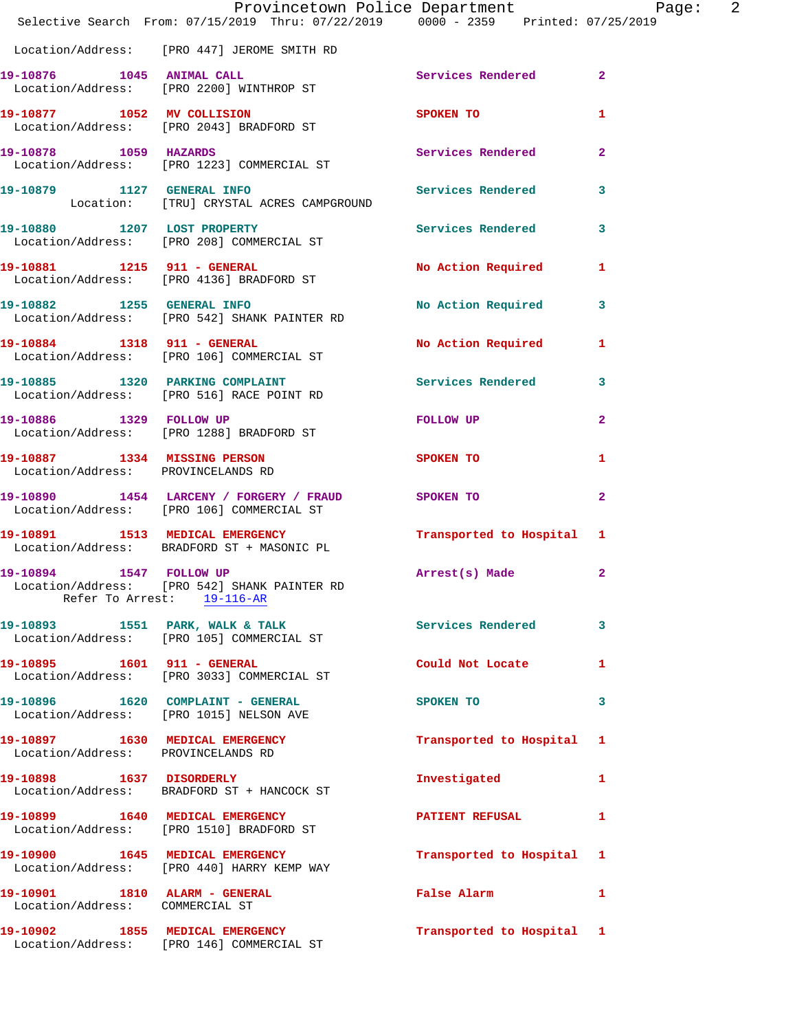|                                                                  | Provincetown Police Department Page: 2<br>Selective Search From: 07/15/2019 Thru: 07/22/2019   0000 - 2359   Printed: 07/25/2019 |                                             |              |  |
|------------------------------------------------------------------|----------------------------------------------------------------------------------------------------------------------------------|---------------------------------------------|--------------|--|
|                                                                  | Location/Address: [PRO 447] JEROME SMITH RD                                                                                      |                                             |              |  |
|                                                                  | 19-10876 1045 ANIMAL CALL<br>Location/Address: [PRO 2200] WINTHROP ST                                                            | Services Rendered 2                         |              |  |
|                                                                  | 19-10877 1052 MV COLLISION<br>Location/Address: [PRO 2043] BRADFORD ST                                                           | SPOKEN TO THE STRIKE STRIKE STRIKE STRIKE   | 1            |  |
| 19-10878 1059 HAZARDS                                            | Location/Address: [PRO 1223] COMMERCIAL ST                                                                                       | Services Rendered 2                         |              |  |
|                                                                  | 19-10879 1127 GENERAL INFO<br>Location: [TRU] CRYSTAL ACRES CAMPGROUND                                                           |                                             |              |  |
|                                                                  |                                                                                                                                  |                                             |              |  |
|                                                                  | 19-10881 1215 911 - GENERAL<br>Location/Address: [PRO 4136] BRADFORD ST                                                          | No Action Required 1                        |              |  |
|                                                                  | 19-10882 1255 GENERAL INFO<br>Location/Address: [PRO 542] SHANK PAINTER RD                                                       | No Action Required 3                        |              |  |
|                                                                  | 19-10884 1318 911 - GENERAL<br>Location/Address: [PRO 106] COMMERCIAL ST                                                         | No Action Required 1                        |              |  |
|                                                                  | 19-10885 1320 PARKING COMPLAINT Services Rendered 3<br>Location/Address: [PRO 516] RACE POINT RD                                 |                                             |              |  |
|                                                                  | 19-10886 1329 FOLLOW UP<br>Location/Address: [PRO 1288] BRADFORD ST                                                              | FOLLOW UP                                   | $\mathbf{2}$ |  |
| Location/Address: PROVINCELANDS RD                               | 19-10887 1334 MISSING PERSON                                                                                                     | SPOKEN TO                                   | 1            |  |
|                                                                  | 19-10890 1454 LARCENY / FORGERY / FRAUD SPOKEN TO<br>Location/Address: [PRO 106] COMMERCIAL ST                                   |                                             | $\mathbf{2}$ |  |
|                                                                  | 19-10891 1513 MEDICAL EMERGENCY<br>Location/Address: BRADFORD ST + MASONIC PL                                                    | Transported to Hospital 1                   |              |  |
| 19-10894 1547 FOLLOW UP                                          | Location/Address: [PRO 542] SHANK PAINTER RD<br>Refer To Arrest: 19-116-AR                                                       | Arrest(s) Made                              | $\mathbf{2}$ |  |
|                                                                  | 19-10893 1551 PARK, WALK & TALK<br>Location/Address: [PRO 105] COMMERCIAL ST                                                     | Services Rendered                           | $\mathbf{3}$ |  |
| 19-10895    1601    911 - GENERAL                                | Location/Address: [PRO 3033] COMMERCIAL ST                                                                                       | Could Not Locate 1                          |              |  |
|                                                                  | 19-10896 1620 COMPLAINT - GENERAL<br>Location/Address: [PRO 1015] NELSON AVE                                                     | SPOKEN TO                                   | 3            |  |
| Location/Address: PROVINCELANDS RD                               | 19-10897 1630 MEDICAL EMERGENCY                                                                                                  | Transported to Hospital 1                   |              |  |
|                                                                  | 19-10898 1637 DISORDERLY<br>Location/Address: BRADFORD ST + HANCOCK ST                                                           | Investigated                                | 1            |  |
|                                                                  | 19-10899 1640 MEDICAL EMERGENCY<br>Location/Address: [PRO 1510] BRADFORD ST                                                      | PATIENT REFUSAL                             | $\mathbf{1}$ |  |
|                                                                  | 19-10900 1645 MEDICAL EMERGENCY<br>Location/Address: [PRO 440] HARRY KEMP WAY                                                    | Transported to Hospital 1                   |              |  |
| 19-10901 1810 ALARM - GENERAL<br>Location/Address: COMMERCIAL ST |                                                                                                                                  | False Alarm <b>Exercise Service Service</b> | $\mathbf{1}$ |  |
|                                                                  | 19-10902 1855 MEDICAL EMERGENCY<br>Location/Address: [PRO 146] COMMERCIAL ST                                                     | Transported to Hospital 1                   |              |  |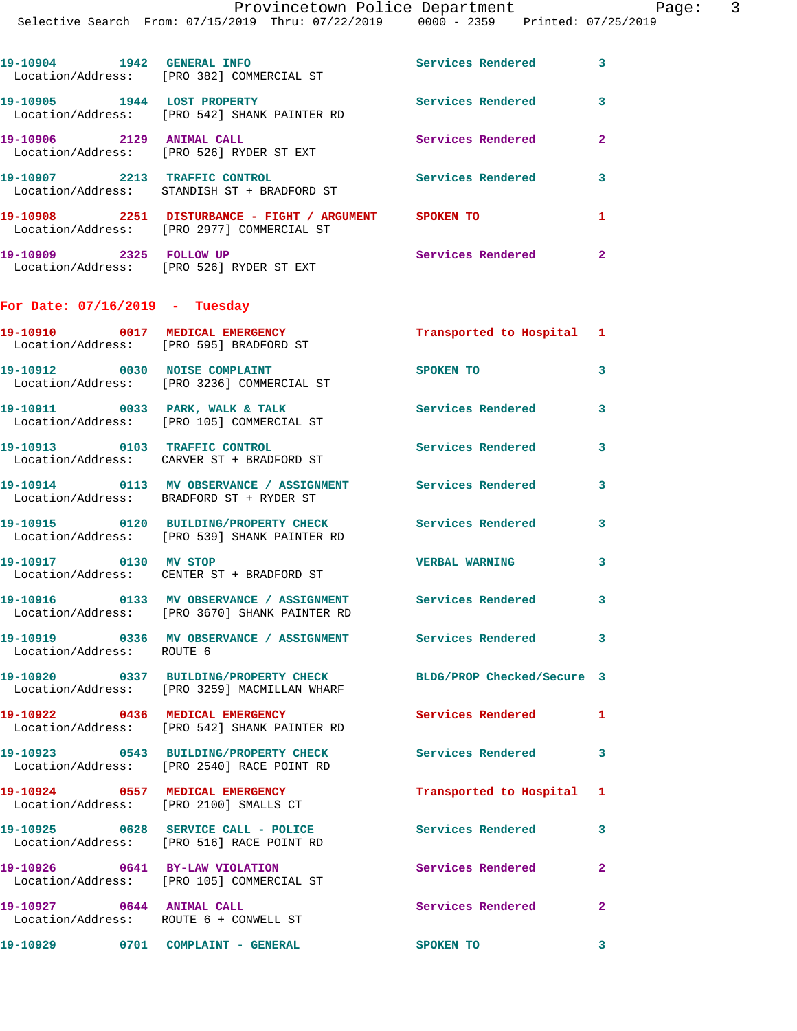| . LIIICII L |                     | r c |
|-------------|---------------------|-----|
| 2359        | Printed: 07/25/2019 |     |

| 19-10904<br>1942<br>Location/Address: | <b>GENERAL INFO</b><br>[PRO 382] COMMERCIAL ST                       | Services Rendered | 3 |
|---------------------------------------|----------------------------------------------------------------------|-------------------|---|
| 19-10905<br>1944                      | <b>LOST PROPERTY</b><br>Location/Address: [PRO 542] SHANK PAINTER RD | Services Rendered | 3 |
| 19-10906<br>2129<br>Location/Address: | <b>ANIMAL CALL</b><br>FRO 5261 RYDER ST EXT                          | Services Rendered | 2 |
| 19-10907<br>2213                      | TRAFFIC CONTROL<br>Location/Address: STANDISH ST + BRADFORD ST       | Services Rendered |   |
| 2251<br>19-10908<br>Location/Address: | DISTURBANCE - FIGHT / ARGUMENT<br>[PRO 2977] COMMERCIAL ST           | <b>SPOKEN TO</b>  |   |

**19-10909 2325 FOLLOW UP Services Rendered 2**  Location/Address: [PRO 526] RYDER ST EXT

## **For Date: 07/16/2019 - Tuesday**

|                                                                     | 19-10910 0017 MEDICAL EMERGENCY<br>Location/Address: [PRO 595] BRADFORD ST                             | Transported to Hospital 1  |                         |
|---------------------------------------------------------------------|--------------------------------------------------------------------------------------------------------|----------------------------|-------------------------|
| 19-10912 0030 NOISE COMPLAINT                                       | Location/Address: [PRO 3236] COMMERCIAL ST                                                             | SPOKEN TO                  | 3                       |
| 19-10911 0033 PARK, WALK & TALK                                     | Location/Address: [PRO 105] COMMERCIAL ST                                                              | <b>Services Rendered</b>   | 3                       |
|                                                                     | 19-10913 0103 TRAFFIC CONTROL<br>Location/Address: CARVER ST + BRADFORD ST                             | <b>Services Rendered</b>   | 3                       |
|                                                                     | 19-10914 0113 MV OBSERVANCE / ASSIGNMENT Services Rendered<br>Location/Address: BRADFORD ST + RYDER ST |                            | 3                       |
|                                                                     | 19-10915 0120 BUILDING/PROPERTY CHECK<br>Location/Address: [PRO 539] SHANK PAINTER RD                  | <b>Services Rendered</b>   | 3                       |
| 19-10917 0130 MV STOP                                               | Location/Address: CENTER ST + BRADFORD ST                                                              | <b>VERBAL WARNING</b>      | 3                       |
|                                                                     | 19-10916 0133 MV OBSERVANCE / ASSIGNMENT<br>Location/Address: [PRO 3670] SHANK PAINTER RD              | <b>Services Rendered</b>   | 3                       |
| Location/Address: ROUTE 6                                           | 19-10919 0336 MV OBSERVANCE / ASSIGNMENT Services Rendered 3                                           |                            |                         |
|                                                                     | 19-10920 0337 BUILDING/PROPERTY CHECK<br>Location/Address: [PRO 3259] MACMILLAN WHARF                  | BLDG/PROP Checked/Secure 3 |                         |
|                                                                     | 19-10922 0436 MEDICAL EMERGENCY<br>Location/Address: [PRO 542] SHANK PAINTER RD                        | <b>Services Rendered</b>   | $\mathbf{1}$            |
|                                                                     | 19-10923 0543 BUILDING/PROPERTY CHECK<br>Location/Address: [PRO 2540] RACE POINT RD                    | <b>Services Rendered</b>   | $\overline{\mathbf{3}}$ |
| 19-10924 0557 MEDICAL EMERGENCY                                     | Location/Address: [PRO 2100] SMALLS CT                                                                 | Transported to Hospital 1  |                         |
|                                                                     | 19-10925 0628 SERVICE CALL - POLICE<br>Location/Address: [PRO 516] RACE POINT RD                       | <b>Services Rendered</b>   | 3                       |
| 19-10926 0641 BY-LAW VIOLATION                                      | Location/Address: [PRO 105] COMMERCIAL ST                                                              | Services Rendered          | $\overline{2}$          |
| 19-10927 0644 ANIMAL CALL<br>Location/Address: ROUTE 6 + CONWELL ST |                                                                                                        | Services Rendered          | $\overline{2}$          |
| 19-10929 0701 COMPLAINT - GENERAL                                   |                                                                                                        | SPOKEN TO                  | 3                       |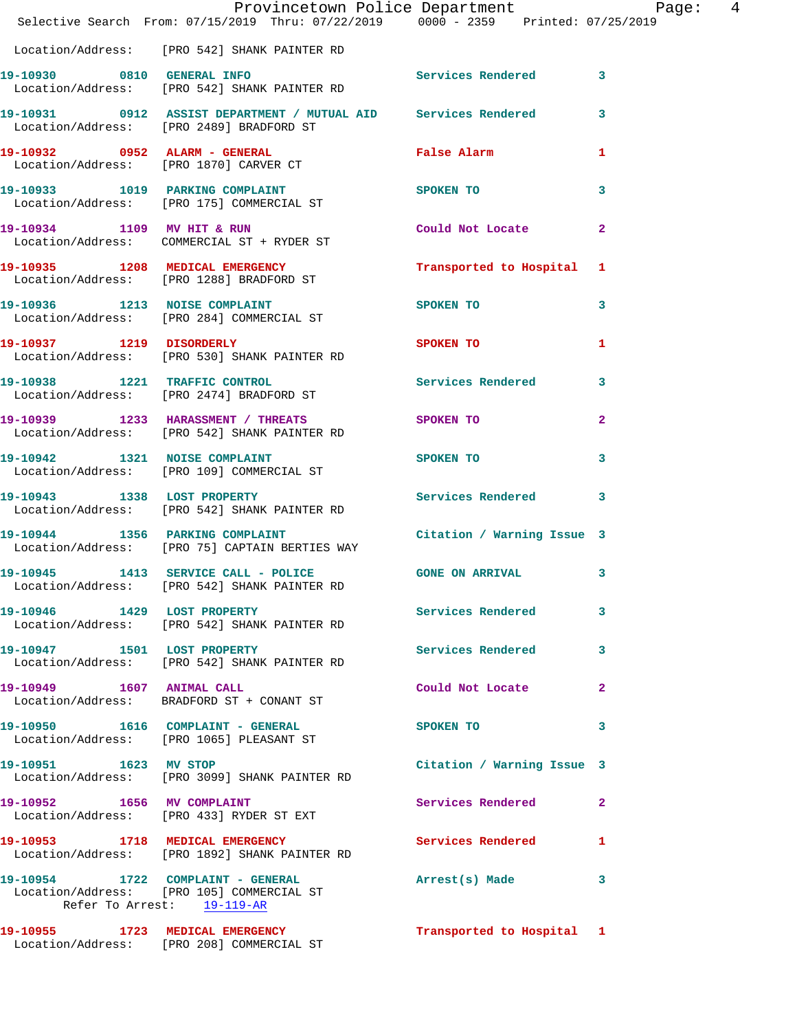|                            | Provincetown Police Department<br>Selective Search From: 07/15/2019 Thru: 07/22/2019   0000 - 2359   Printed: 07/25/2019 |                                                                                                                | $\overline{4}$<br>Page: |
|----------------------------|--------------------------------------------------------------------------------------------------------------------------|----------------------------------------------------------------------------------------------------------------|-------------------------|
|                            | Location/Address: [PRO 542] SHANK PAINTER RD                                                                             |                                                                                                                |                         |
|                            | 19-10930 0810 GENERAL INFO<br>Location/Address: [PRO 542] SHANK PAINTER RD                                               | Services Rendered 3                                                                                            |                         |
|                            | 19-10931 0912 ASSIST DEPARTMENT / MUTUAL AID Services Rendered 3<br>Location/Address: [PRO 2489] BRADFORD ST             |                                                                                                                |                         |
|                            | 19-10932 0952 ALARM - GENERAL<br>Location/Address: [PRO 1870] CARVER CT                                                  | False Alarm                                                                                                    | 1                       |
|                            | 19-10933 1019 PARKING COMPLAINT<br>Location/Address: [PRO 175] COMMERCIAL ST                                             | SPOKEN TO THE STREET OF THE STREET OF THE STREET OF THE STREET OF THE STREET OF THE STREET OF THE STREET OF TH | 3                       |
| 19-10934 1109 MV HIT & RUN | Location/Address: COMMERCIAL ST + RYDER ST                                                                               | Could Not Locate 2                                                                                             |                         |
|                            | 19-10935 1208 MEDICAL EMERGENCY<br>Location/Address: [PRO 1288] BRADFORD ST                                              | Transported to Hospital 1                                                                                      |                         |
|                            | 19-10936 1213 NOISE COMPLAINT<br>Location/Address: [PRO 284] COMMERCIAL ST                                               | SPOKEN TO                                                                                                      | 3                       |
|                            | 19-10937 1219 DISORDERLY<br>Location/Address: [PRO 530] SHANK PAINTER RD                                                 | SPOKEN TO                                                                                                      | 1                       |
|                            | 19-10938 1221 TRAFFIC CONTROL<br>Location/Address: [PRO 2474] BRADFORD ST                                                | Services Rendered                                                                                              | $\mathbf{3}$            |
|                            | 19-10939 1233 HARASSMENT / THREATS<br>Location/Address: [PRO 542] SHANK PAINTER RD                                       | SPOKEN TO                                                                                                      | $\mathbf{2}$            |
|                            | 19-10942 1321 NOISE COMPLAINT<br>Location/Address: [PRO 109] COMMERCIAL ST                                               | SPOKEN TO                                                                                                      | 3                       |
|                            | 19-10943 1338 LOST PROPERTY 1999 Services Rendered 3<br>Location/Address: [PRO 542] SHANK PAINTER RD                     |                                                                                                                |                         |
|                            | 19-10944 1356 PARKING COMPLAINT Contract Citation / Warning Issue 3<br>Location/Address: [PRO 75] CAPTAIN BERTIES WAY    |                                                                                                                |                         |
|                            | 19-10945 1413 SERVICE CALL - POLICE 600 GONE ON ARRIVAL 3<br>Location/Address: [PRO 542] SHANK PAINTER RD                |                                                                                                                |                         |
|                            | 19-10946 1429 LOST PROPERTY<br>Location/Address: [PRO 542] SHANK PAINTER RD                                              | Services Rendered 3                                                                                            |                         |
|                            | 19-10947 1501 LOST PROPERTY<br>Location/Address: [PRO 542] SHANK PAINTER RD                                              | Services Rendered 3                                                                                            |                         |
| 19-10949 1607 ANIMAL CALL  | Location/Address: BRADFORD ST + CONANT ST                                                                                | Could Not Locate                                                                                               | $\mathbf{2}$            |
|                            | 19-10950 1616 COMPLAINT - GENERAL<br>Location/Address: [PRO 1065] PLEASANT ST                                            | SPOKEN TO                                                                                                      | 3                       |
| 19-10951 1623 MV STOP      | Location/Address: [PRO 3099] SHANK PAINTER RD                                                                            | Citation / Warning Issue 3                                                                                     |                         |
|                            | 19-10952 1656 MV COMPLAINT<br>Location/Address: [PRO 433] RYDER ST EXT                                                   | Services Rendered 2                                                                                            |                         |
|                            | 19-10953 1718 MEDICAL EMERGENCY<br>Location/Address: [PRO 1892] SHANK PAINTER RD                                         | Services Rendered                                                                                              | $\mathbf{1}$            |
|                            | 19-10954 1722 COMPLAINT - GENERAL<br>Location/Address: [PRO 105] COMMERCIAL ST<br>Refer To Arrest: 19-119-AR             | Arrest(s) Made 3                                                                                               |                         |
|                            | 19-10955 1723 MEDICAL EMERGENCY<br>Location/Address: [PRO 208] COMMERCIAL ST                                             | Transported to Hospital 1                                                                                      |                         |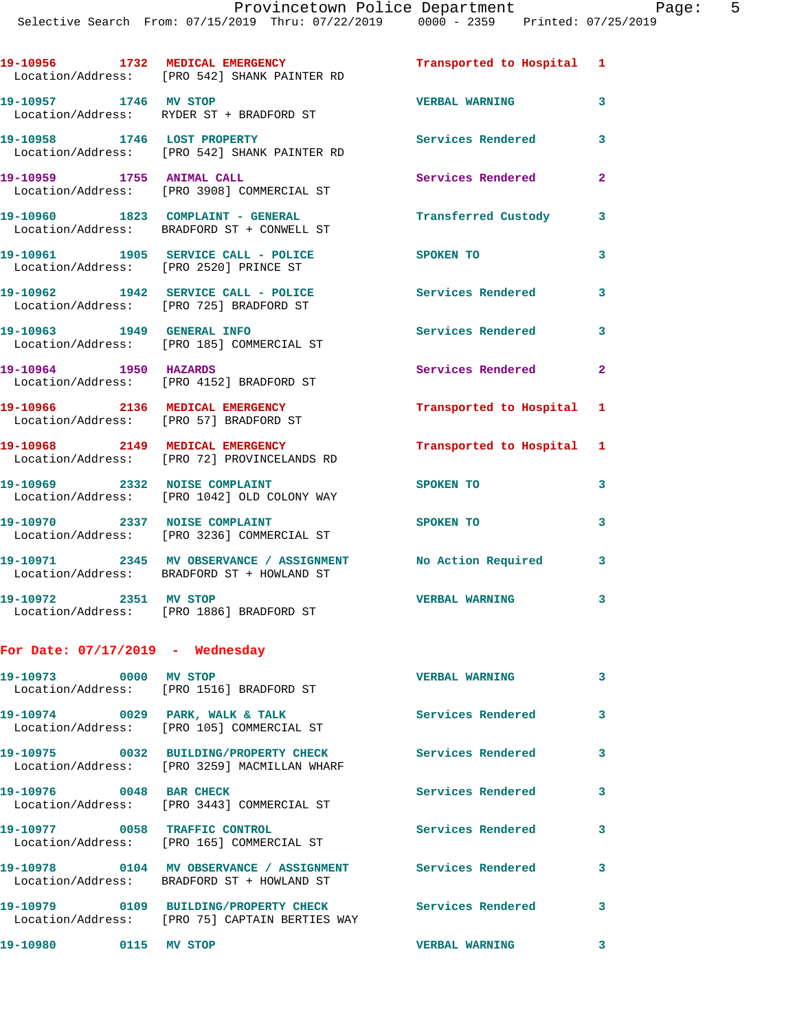|                                        | 19-10956 1732 MEDICAL EMERGENCY<br>Location/Address: [PRO 542] SHANK PAINTER RD                           | Transported to Hospital 1 |                |
|----------------------------------------|-----------------------------------------------------------------------------------------------------------|---------------------------|----------------|
| 19-10957 1746 MV STOP                  | Location/Address: RYDER ST + BRADFORD ST                                                                  | <b>VERBAL WARNING</b>     | $\mathbf{3}$   |
|                                        | 19-10958 1746 LOST PROPERTY<br>Location/Address: [PRO 542] SHANK PAINTER RD                               | Services Rendered         | 3              |
| 19-10959 1755 ANIMAL CALL              | Location/Address: [PRO 3908] COMMERCIAL ST                                                                | Services Rendered         | $\overline{2}$ |
|                                        | 19-10960 1823 COMPLAINT - GENERAL<br>Location/Address: BRADFORD ST + CONWELL ST                           | Transferred Custody       | 3              |
| Location/Address: [PRO 2520] PRINCE ST | 19-10961 1905 SERVICE CALL - POLICE                                                                       | SPOKEN TO                 | 3              |
|                                        | 19-10962 1942 SERVICE CALL - POLICE<br>Location/Address: [PRO 725] BRADFORD ST                            | Services Rendered         | 3              |
| 19-10963 1949 GENERAL INFO             | Location/Address: [PRO 185] COMMERCIAL ST                                                                 | Services Rendered         | 3              |
|                                        | 19-10964 1950 HAZARDS<br>Location/Address: [PRO 4152] BRADFORD ST                                         | Services Rendered         | $\mathbf{2}$   |
|                                        | 19-10966 2136 MEDICAL EMERGENCY<br>Location/Address: [PRO 57] BRADFORD ST                                 | Transported to Hospital 1 |                |
|                                        | 19-10968 2149 MEDICAL EMERGENCY<br>Location/Address: [PRO 72] PROVINCELANDS RD                            | Transported to Hospital 1 |                |
| 19-10969 2332 NOISE COMPLAINT          | Location/Address: [PRO 1042] OLD COLONY WAY                                                               | SPOKEN TO                 | 3              |
|                                        | 19-10970 2337 NOISE COMPLAINT<br>Location/Address: [PRO 3236] COMMERCIAL ST                               | SPOKEN TO                 | 3              |
|                                        | 19-10971 2345 MV OBSERVANCE / ASSIGNMENT No Action Required<br>Location/Address: BRADFORD ST + HOWLAND ST |                           | 3              |
| 19-10972 2351 MV STOP                  | Location/Address: [PRO 1886] BRADFORD ST                                                                  | <b>VERBAL WARNING</b>     | 3              |

## **For Date: 07/17/2019 - Wednesday**

| 19-10973 0000                   | MV STOP<br>Location/Address: [PRO 1516] BRADFORD ST | <b>VERBAL WARNING</b>    | $\mathbf{3}$ |
|---------------------------------|-----------------------------------------------------|--------------------------|--------------|
| 19-10974 0029 PARK, WALK & TALK | Location/Address: [PRO 105] COMMERCIAL ST           | Services Rendered        | $\mathbf{3}$ |
|                                 | Location/Address: [PRO 3259] MACMILLAN WHARF        | <b>Services Rendered</b> | $\mathbf{3}$ |
| 19-10976 0048 BAR CHECK         | Location/Address: [PRO 3443] COMMERCIAL ST          | Services Rendered        | 3            |
| 19-10977 0058 TRAFFIC CONTROL   | Location/Address: [PRO 165] COMMERCIAL ST           | Services Rendered        | 3            |
|                                 | Location/Address: BRADFORD ST + HOWLAND ST          | <b>Services Rendered</b> | 3            |
|                                 | Location/Address: [PRO 75] CAPTAIN BERTIES WAY      | <b>Services Rendered</b> | 3.           |
| 19-10980<br>0115                | MV STOP                                             | <b>VERBAL WARNING</b>    | 3            |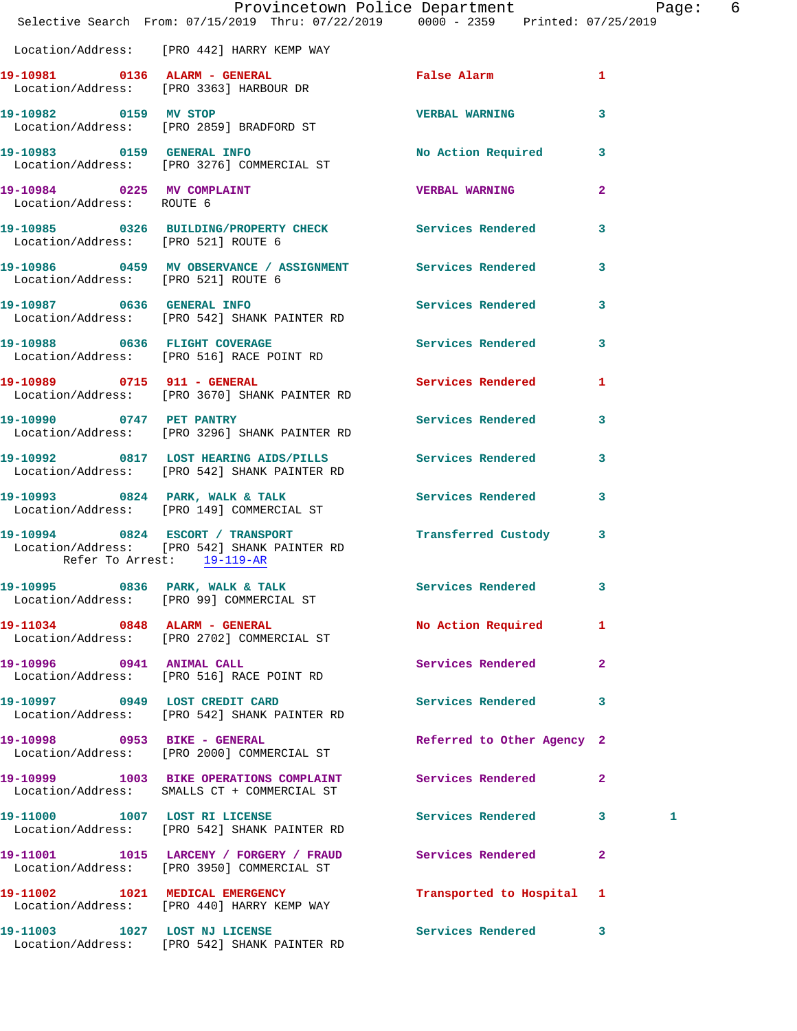|                                     | Provincetown Police Department Page: 6<br>Selective Search From: 07/15/2019 Thru: 07/22/2019 0000 - 2359 Printed: 07/25/2019 |                            |              |  |
|-------------------------------------|------------------------------------------------------------------------------------------------------------------------------|----------------------------|--------------|--|
|                                     | Location/Address: [PRO 442] HARRY KEMP WAY                                                                                   |                            |              |  |
|                                     | 19-10981 0136 ALARM - GENERAL<br>Location/Address: [PRO 3363] HARBOUR DR                                                     | False Alarm 1              |              |  |
|                                     | 19-10982 0159 MV STOP<br>Location/Address: [PRO 2859] BRADFORD ST                                                            | VERBAL WARNING 3           |              |  |
|                                     | 19-10983 0159 GENERAL INFO<br>Location/Address: [PRO 3276] COMMERCIAL ST                                                     | No Action Required 3       |              |  |
| Location/Address: ROUTE 6           | 19-10984 0225 MV COMPLAINT COMERCITY COMPUTER VERBAL WARNING 2                                                               |                            |              |  |
| Location/Address: [PRO 521] ROUTE 6 | 19-10985 0326 BUILDING/PROPERTY CHECK Services Rendered 3                                                                    |                            |              |  |
| Location/Address: [PRO 521] ROUTE 6 | 19-10986 6 0459 MV OBSERVANCE / ASSIGNMENT Services Rendered 3                                                               |                            |              |  |
|                                     | 19-10987 0636 GENERAL INFO Services Rendered 3<br>Location/Address: [PRO 542] SHANK PAINTER RD                               |                            |              |  |
|                                     | 19-10988 0636 FLIGHT COVERAGE 3 Services Rendered 3<br>Location/Address: [PRO 516] RACE POINT RD                             |                            |              |  |
|                                     | 19-10989 0715 911 - GENERAL Contract Services Rendered 1<br>Location/Address: [PRO 3670] SHANK PAINTER RD                    |                            |              |  |
|                                     | 19-10990 0747 PET PANTRY<br>Location/Address: [PRO 3296] SHANK PAINTER RD                                                    | Services Rendered 3        |              |  |
|                                     | 19-10992 0817 LOST HEARING AIDS/PILLS Services Rendered 3<br>Location/Address: [PRO 542] SHANK PAINTER RD                    |                            |              |  |
|                                     | 19-10993 0824 PARK, WALK & TALK Services Rendered 3<br>Location/Address: [PRO 149] COMMERCIAL ST                             |                            |              |  |
| Refer To Arrest: 19-119-AR          | Location/Address: [PRO 542] SHANK PAINTER RD                                                                                 |                            |              |  |
|                                     | 19-10995 0836 PARK, WALK & TALK<br>Location/Address: [PRO 99] COMMERCIAL ST                                                  | Services Rendered 3        |              |  |
|                                     | 19-11034 0848 ALARM - GENERAL<br>Location/Address: [PRO 2702] COMMERCIAL ST                                                  | No Action Required 1       |              |  |
|                                     | 19-10996 0941 ANIMAL CALL<br>Location/Address: [PRO 516] RACE POINT RD                                                       | Services Rendered          | $\mathbf{2}$ |  |
|                                     | 19-10997 0949 LOST CREDIT CARD Services Rendered 3<br>Location/Address: [PRO 542] SHANK PAINTER RD                           |                            |              |  |
|                                     | 19-10998 0953 BIKE - GENERAL<br>Location/Address: [PRO 2000] COMMERCIAL ST                                                   | Referred to Other Agency 2 |              |  |
|                                     | 19-10999 1003 BIKE OPERATIONS COMPLAINT Services Rendered 2<br>Location/Address: SMALLS CT + COMMERCIAL ST                   |                            |              |  |
|                                     | 19-11000 1007 LOST RI LICENSE<br>Location/Address: [PRO 542] SHANK PAINTER RD                                                | Services Rendered 3        | 1            |  |
|                                     | 19-11001 1015 LARCENY / FORGERY / FRAUD Services Rendered<br>Location/Address: [PRO 3950] COMMERCIAL ST                      |                            | $\mathbf{2}$ |  |
|                                     | 19-11002 1021 MEDICAL EMERGENCY<br>Location/Address: [PRO 440] HARRY KEMP WAY                                                | Transported to Hospital 1  |              |  |
|                                     | 19-11003 1027 LOST NJ LICENSE<br>$[500 \t 540]$ $(101 \t 011)$                                                               | Services Rendered 3        |              |  |

Location/Address: [PRO 542] SHANK PAINTER RD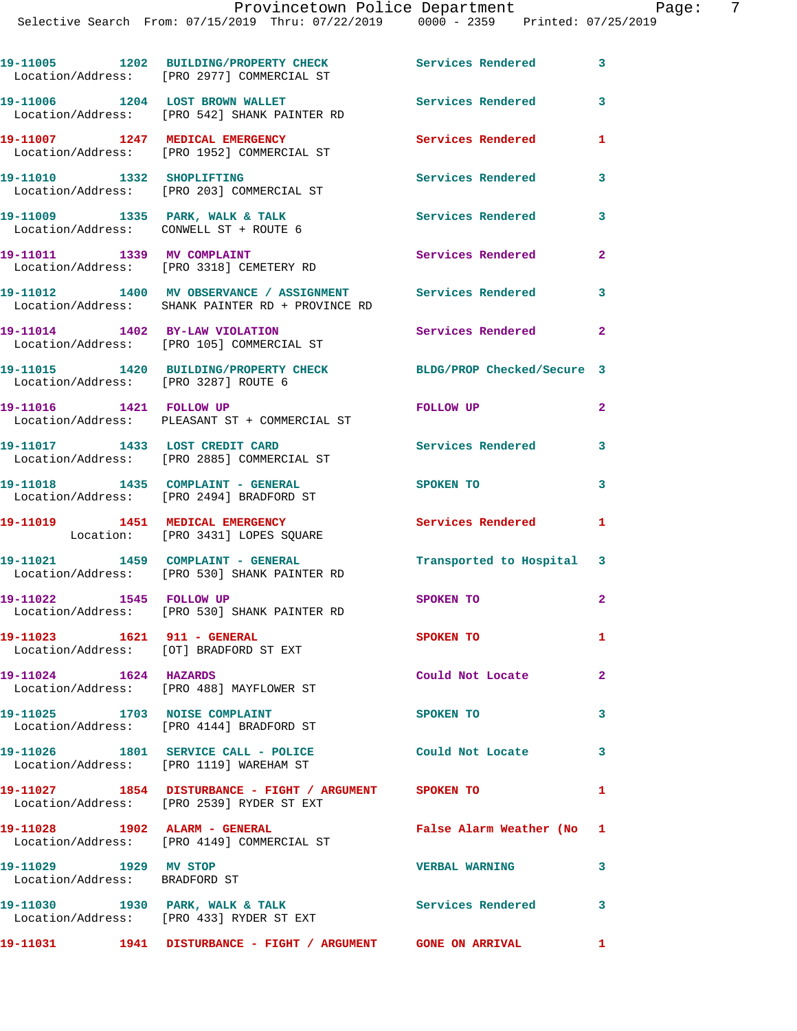|  |  | I LOVINCCCOWN LOLLED DEPUL CHICNE |             |                     |
|--|--|-----------------------------------|-------------|---------------------|
|  |  | From: 07/15/2019 Thru: 07/22/2019 | 0000 - 2359 | Printed: 07/25/2019 |
|  |  |                                   |             |                     |

|                                                        | 19-11005 1202 BUILDING/PROPERTY CHECK<br>Location/Address: [PRO 2977] COMMERCIAL ST                            | Services Rendered          | 3            |
|--------------------------------------------------------|----------------------------------------------------------------------------------------------------------------|----------------------------|--------------|
|                                                        | 19-11006 1204 LOST BROWN WALLET<br>Location/Address: [PRO 542] SHANK PAINTER RD                                | <b>Services Rendered</b>   | 3            |
|                                                        | 19-11007 1247 MEDICAL EMERGENCY<br>Location/Address: [PRO 1952] COMMERCIAL ST                                  | <b>Services Rendered</b>   | 1            |
| 19-11010 1332 SHOPLIFTING                              | Location/Address: [PRO 203] COMMERCIAL ST                                                                      | Services Rendered          | 3            |
|                                                        | 19-11009 1335 PARK, WALK & TALK<br>Location/Address: CONWELL ST + ROUTE 6                                      | Services Rendered          | 3            |
|                                                        | 19-11011 1339 MV COMPLAINT<br>Location/Address: [PRO 3318] CEMETERY RD                                         | Services Rendered          | $\mathbf{2}$ |
|                                                        | 19-11012 1400 MV OBSERVANCE / ASSIGNMENT Services Rendered<br>Location/Address: SHANK PAINTER RD + PROVINCE RD |                            | 3            |
|                                                        | 19-11014 1402 BY-LAW VIOLATION<br>Location/Address: [PRO 105] COMMERCIAL ST                                    | Services Rendered          | $\mathbf{2}$ |
| Location/Address: [PRO 3287] ROUTE 6                   | 19-11015 1420 BUILDING/PROPERTY CHECK                                                                          | BLDG/PROP Checked/Secure 3 |              |
| 19-11016   1421   FOLLOW UP                            | Location/Address: PLEASANT ST + COMMERCIAL ST                                                                  | FOLLOW UP                  | 2            |
|                                                        | 19-11017 1433 LOST CREDIT CARD<br>Location/Address: [PRO 2885] COMMERCIAL ST                                   | <b>Services Rendered</b>   | 3            |
|                                                        | 19-11018 1435 COMPLAINT - GENERAL<br>Location/Address: [PRO 2494] BRADFORD ST                                  | SPOKEN TO                  | 3            |
|                                                        | 19-11019 1451 MEDICAL EMERGENCY<br>Location: [PRO 3431] LOPES SQUARE                                           | <b>Services Rendered</b>   | 1            |
|                                                        | 19-11021 1459 COMPLAINT - GENERAL<br>Location/Address: [PRO 530] SHANK PAINTER RD                              | Transported to Hospital    | 3            |
| 19-11022 1545 FOLLOW UP                                | Location/Address: [PRO 530] SHANK PAINTER RD                                                                   | SPOKEN TO                  | 2            |
| 19-11023 1621 911 - GENERAL                            | Location/Address: [OT] BRADFORD ST EXT                                                                         | SPOKEN TO                  | 1            |
| $19-11024$ $1624$ HAZARDS                              | Location/Address: [PRO 488] MAYFLOWER ST                                                                       | Could Not Locate           | 2            |
|                                                        | 19-11025 1703 NOISE COMPLAINT<br>Location/Address: [PRO 4144] BRADFORD ST                                      | SPOKEN TO                  | 3            |
|                                                        | 19-11026 1801 SERVICE CALL - POLICE<br>Location/Address: [PRO 1119] WAREHAM ST                                 | Could Not Locate           | 3            |
|                                                        | 19-11027 1854 DISTURBANCE - FIGHT / ARGUMENT SPOKEN TO<br>Location/Address: [PRO 2539] RYDER ST EXT            |                            | 1            |
|                                                        | 19-11028 1902 ALARM - GENERAL<br>Location/Address: [PRO 4149] COMMERCIAL ST                                    | False Alarm Weather (No    | 1            |
| 19-11029 1929 MV STOP<br>Location/Address: BRADFORD ST |                                                                                                                | <b>VERBAL WARNING</b>      | 3            |
|                                                        | 19-11030 1930 PARK, WALK & TALK<br>Location/Address: [PRO 433] RYDER ST EXT                                    | <b>Services Rendered</b>   | 3            |

**19-11031 1941 DISTURBANCE - FIGHT / ARGUMENT GONE ON ARRIVAL 1**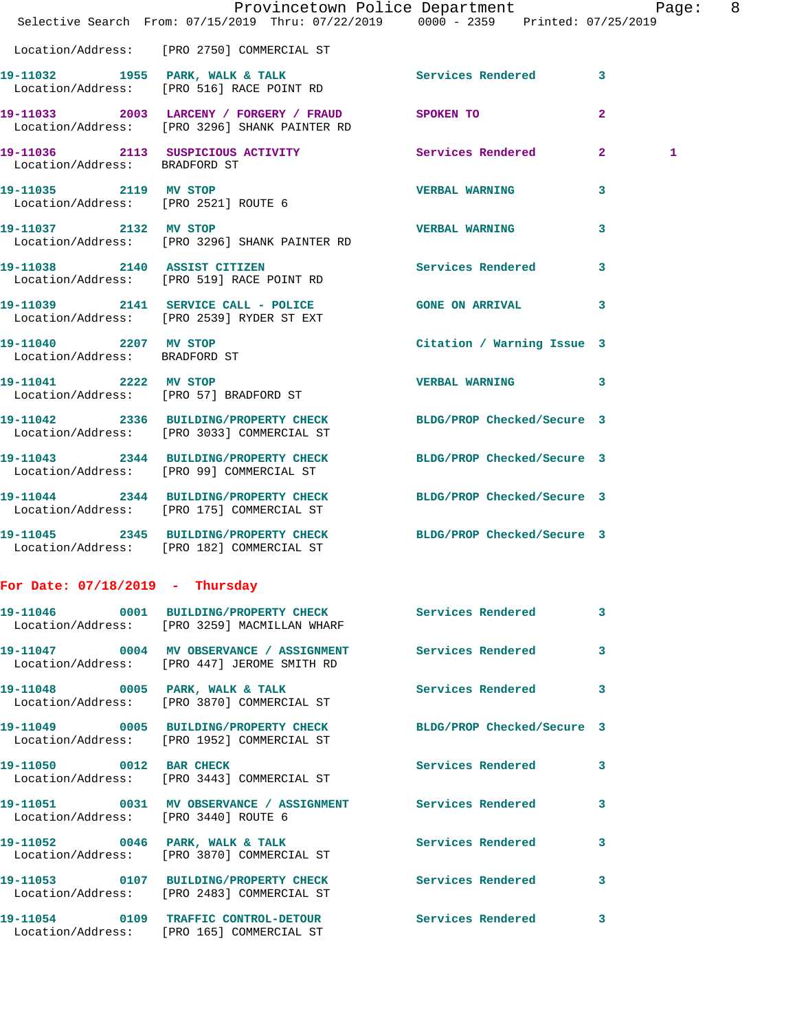|                                                        | Provincetown Police Department Page: 8<br>Selective Search From: 07/15/2019 Thru: 07/22/2019 0000 - 2359 Printed: 07/25/2019 |                            |                         |
|--------------------------------------------------------|------------------------------------------------------------------------------------------------------------------------------|----------------------------|-------------------------|
|                                                        | Location/Address: [PRO 2750] COMMERCIAL ST                                                                                   |                            |                         |
|                                                        | 19-11032 1955 PARK, WALK & TALK 1999 Services Rendered 3<br>Location/Address: [PRO 516] RACE POINT RD                        |                            |                         |
|                                                        | 19-11033 2003 LARCENY / FORGERY / FRAUD SPOKEN TO<br>Location/Address: [PRO 3296] SHANK PAINTER RD                           |                            | $\mathbf{2}$            |
| Location/Address: BRADFORD ST                          | 19-11036 2113 SUSPICIOUS ACTIVITY Services Rendered 2                                                                        |                            | 1                       |
|                                                        | 19-11035 2119 MV STOP<br>Location/Address: [PRO 2521] ROUTE 6                                                                | <b>VERBAL WARNING</b>      | 3                       |
| 19-11037 2132 MV STOP                                  | Location/Address: [PRO 3296] SHANK PAINTER RD                                                                                | <b>VERBAL WARNING</b>      | 3                       |
|                                                        | 19-11038 2140 ASSIST CITIZEN<br>Location/Address: [PRO 519] RACE POINT RD                                                    | Services Rendered 3        |                         |
|                                                        | 19-11039 2141 SERVICE CALL - POLICE GONE ON ARRIVAL<br>Location/Address: [PRO 2539] RYDER ST EXT                             |                            | 3                       |
| 19-11040 2207 MV STOP<br>Location/Address: BRADFORD ST |                                                                                                                              | Citation / Warning Issue 3 |                         |
|                                                        | 19-11041 2222 MV STOP<br>Location/Address: [PRO 57] BRADFORD ST                                                              | <b>VERBAL WARNING</b>      | $\overline{\mathbf{3}}$ |
|                                                        | 19-11042 2336 BUILDING/PROPERTY CHECK BLDG/PROP Checked/Secure 3<br>Location/Address: [PRO 3033] COMMERCIAL ST               |                            |                         |
|                                                        | 19-11043 2344 BUILDING/PROPERTY CHECK BLDG/PROP Checked/Secure 3<br>Location/Address: [PRO 99] COMMERCIAL ST                 |                            |                         |
|                                                        | 19-11044 2344 BUILDING/PROPERTY CHECK BLDG/PROP Checked/Secure 3<br>Location/Address: [PRO 175] COMMERCIAL ST                |                            |                         |
|                                                        | 19-11045 2345 BUILDING/PROPERTY CHECK BLDG/PROP Checked/Secure 3<br>Location/Address: [PRO 182] COMMERCIAL ST                |                            |                         |
| For Date: $07/18/2019$ - Thursday                      |                                                                                                                              |                            |                         |
|                                                        | 19-11046 0001 BUILDING/PROPERTY CHECK Services Rendered 3<br>Location/Address: [PRO 3259] MACMILLAN WHARF                    |                            |                         |
|                                                        | 19-11047 0004 MV OBSERVANCE / ASSIGNMENT Services Rendered<br>Location/Address: [PRO 447] JEROME SMITH RD                    |                            | -3                      |
|                                                        | 19-11048 0005 PARK, WALK & TALK 3 Services Rendered 3<br>Location/Address: [PRO 3870] COMMERCIAL ST                          |                            |                         |
|                                                        | 19-11049 0005 BUILDING/PROPERTY CHECK BLDG/PROP Checked/Secure 3<br>Location/Address: [PRO 1952] COMMERCIAL ST               |                            |                         |
| 19-11050 0012 BAR CHECK                                | Location/Address: [PRO 3443] COMMERCIAL ST                                                                                   | Services Rendered          | 3                       |
| Location/Address: [PRO 3440] ROUTE 6                   | 19-11051 0031 MV OBSERVANCE / ASSIGNMENT Services Rendered 3                                                                 |                            |                         |
|                                                        | 19-11052 0046 PARK, WALK & TALK<br>Location/Address: [PRO 3870] COMMERCIAL ST                                                | <b>Services Rendered</b>   | 3                       |
|                                                        | 19-11053 0107 BUILDING/PROPERTY CHECK Services Rendered 3<br>Location/Address: [PRO 2483] COMMERCIAL ST                      |                            |                         |
|                                                        | 19-11054 0109 TRAFFIC CONTROL-DETOUR<br>Location/Address: [PRO 165] COMMERCIAL ST                                            | Services Rendered          | 3                       |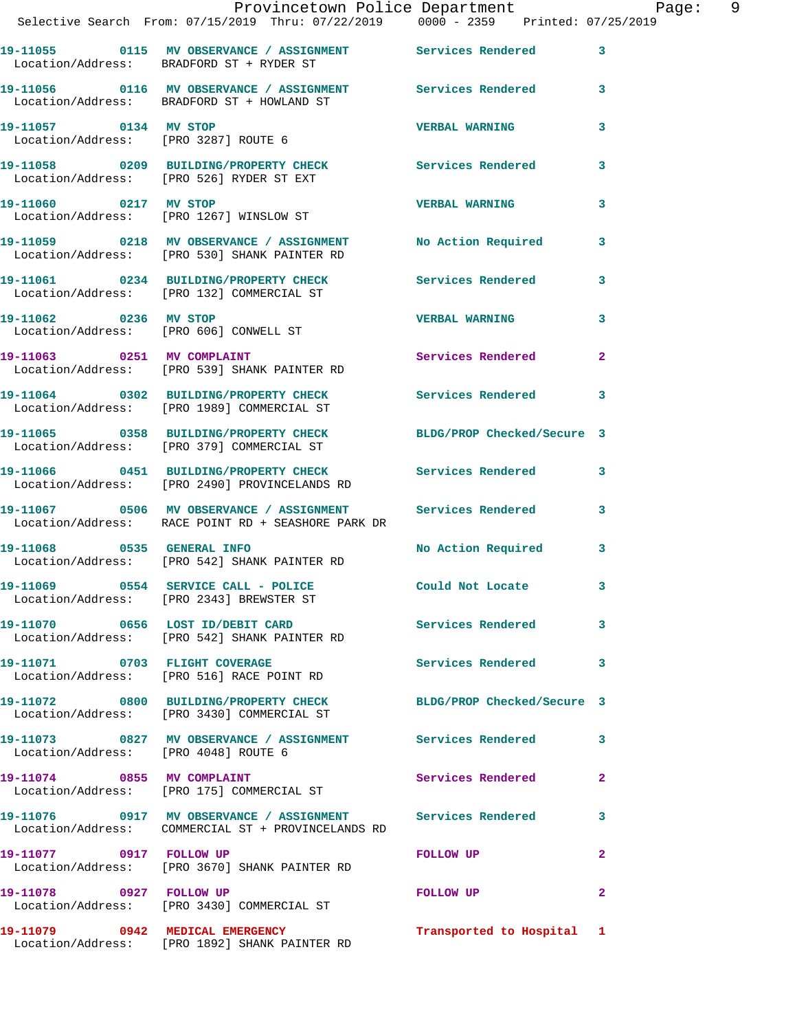|                                      | Provincetown Police Department Page: 9<br>Selective Search From: 07/15/2019 Thru: 07/22/2019   0000 - 2359   Printed: 07/25/2019 |                           |              |
|--------------------------------------|----------------------------------------------------------------------------------------------------------------------------------|---------------------------|--------------|
|                                      |                                                                                                                                  |                           |              |
|                                      | 19-11055 0115 MV OBSERVANCE / ASSIGNMENT Services Rendered 3<br>Location/Address: BRADFORD ST + RYDER ST                         |                           |              |
|                                      | 19-11056 0116 MV OBSERVANCE / ASSIGNMENT Services Rendered 3<br>Location/Address: BRADFORD ST + HOWLAND ST                       |                           |              |
|                                      |                                                                                                                                  | <b>VERBAL WARNING</b>     | 3            |
|                                      | 19-11058 0209 BUILDING/PROPERTY CHECK Services Rendered<br>Location/Address: [PRO 526] RYDER ST EXT                              |                           | 3            |
| 19-11060 0217 MV STOP                | Location/Address: [PRO 1267] WINSLOW ST                                                                                          | <b>VERBAL WARNING</b>     | $\mathbf{3}$ |
|                                      | 19-11059 0218 MV OBSERVANCE / ASSIGNMENT No Action Required 3<br>Location/Address: [PRO 530] SHANK PAINTER RD                    |                           |              |
|                                      | 19-11061 0234 BUILDING/PROPERTY CHECK Services Rendered 3<br>Location/Address: [PRO 132] COMMERCIAL ST                           |                           |              |
|                                      | 19-11062 0236 MV STOP<br>Location/Address: [PRO 606] CONWELL ST                                                                  | <b>VERBAL WARNING</b>     | $\mathbf{3}$ |
|                                      | 19-11063 0251 MV COMPLAINT<br>Location/Address: [PRO 539] SHANK PAINTER RD                                                       | Services Rendered 2       |              |
|                                      | 19-11064 0302 BUILDING/PROPERTY CHECK Services Rendered 3<br>Location/Address: [PRO 1989] COMMERCIAL ST                          |                           |              |
|                                      | 19-11065 0358 BUILDING/PROPERTY CHECK BLDG/PROP Checked/Secure 3<br>Location/Address: [PRO 379] COMMERCIAL ST                    |                           |              |
|                                      | 19-11066 0451 BUILDING/PROPERTY CHECK Services Rendered 3<br>Location/Address: [PRO 2490] PROVINCELANDS RD                       |                           |              |
|                                      | 19-11067 0506 MV OBSERVANCE / ASSIGNMENT Services Rendered 3<br>Location/Address: RACE POINT RD + SEASHORE PARK DR               |                           |              |
|                                      | 19-11068 0535 GENERAL INFO<br>Location/Address: [PRO 542] SHANK PAINTER RD                                                       | No Action Required 3      |              |
|                                      | 19-11069 0554 SERVICE CALL - POLICE Could Not Locate<br>Location/Address: [PRO 2343] BREWSTER ST                                 |                           |              |
|                                      | 19-11070 0656 LOST ID/DEBIT CARD Services Rendered 3<br>Location/Address: [PRO 542] SHANK PAINTER RD                             |                           |              |
|                                      | 19-11071 0703 FLIGHT COVERAGE<br>Location/Address: [PRO 516] RACE POINT RD                                                       | Services Rendered 3       |              |
|                                      | 19-11072 0800 BUILDING/PROPERTY CHECK BLDG/PROP Checked/Secure 3<br>Location/Address: [PRO 3430] COMMERCIAL ST                   |                           |              |
| Location/Address: [PRO 4048] ROUTE 6 | 19-11073 0827 MV OBSERVANCE / ASSIGNMENT Services Rendered 3                                                                     |                           |              |
|                                      | 19-11074 0855 MV COMPLAINT<br>Location/Address: [PRO 175] COMMERCIAL ST                                                          | Services Rendered         | $\mathbf{2}$ |
|                                      | 19-11076 0917 MV OBSERVANCE / ASSIGNMENT Services Rendered 3<br>Location/Address: COMMERCIAL ST + PROVINCELANDS RD               |                           |              |
|                                      | 19-11077 0917 FOLLOW UP<br>Location/Address: [PRO 3670] SHANK PAINTER RD                                                         | FOLLOW UP                 | $\mathbf{2}$ |
| 19-11078 0927 FOLLOW UP              | Location/Address: [PRO 3430] COMMERCIAL ST                                                                                       | FOLLOW UP                 | $\mathbf{2}$ |
|                                      | 19-11079 0942 MEDICAL EMERGENCY<br>Location/Address: [PRO 1892] SHANK PAINTER RD                                                 | Transported to Hospital 1 |              |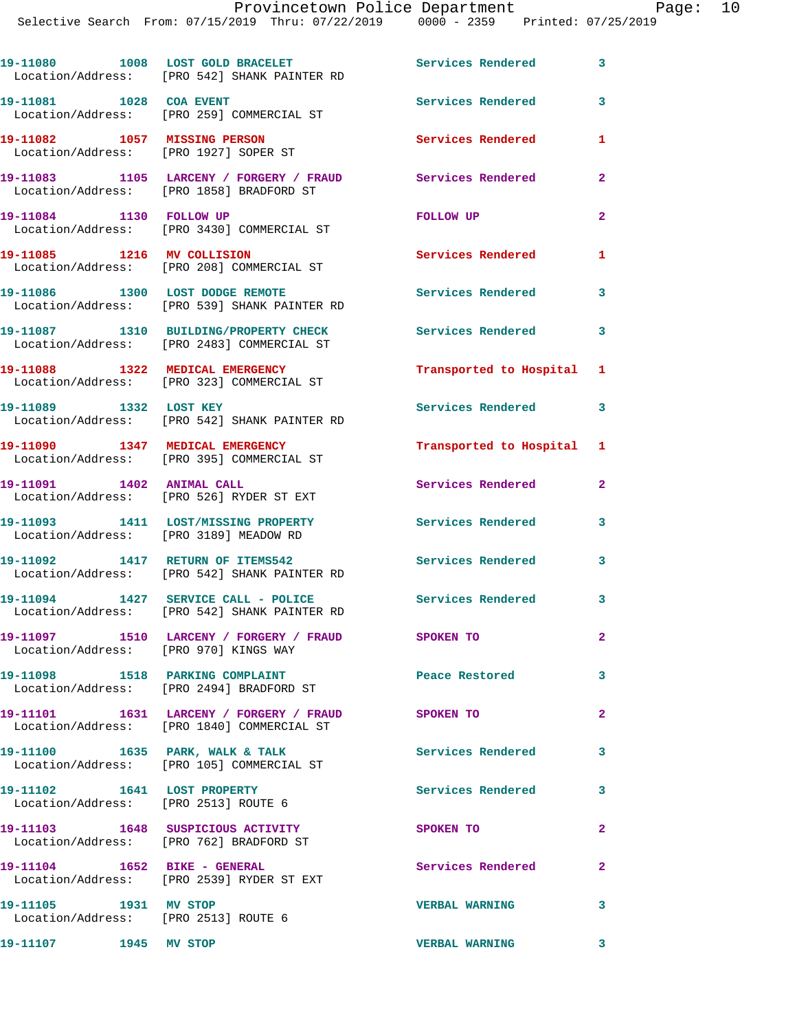|                                                                       | 19-11080 1008 LOST GOLD BRACELET<br>Location/Address: [PRO 542] SHANK PAINTER RD                | Services Rendered         | 3              |
|-----------------------------------------------------------------------|-------------------------------------------------------------------------------------------------|---------------------------|----------------|
| 19-11081 1028 COA EVENT                                               | Location/Address: [PRO 259] COMMERCIAL ST                                                       | Services Rendered         | 3              |
| 19-11082 1057 MISSING PERSON<br>Location/Address: [PRO 1927] SOPER ST |                                                                                                 | <b>Services Rendered</b>  | 1              |
|                                                                       | 19-11083 1105 LARCENY / FORGERY / FRAUD<br>Location/Address: [PRO 1858] BRADFORD ST             | Services Rendered         | $\mathbf{2}$   |
| 19-11084 1130 FOLLOW UP                                               | Location/Address: [PRO 3430] COMMERCIAL ST                                                      | <b>FOLLOW UP</b>          | $\overline{2}$ |
| 19-11085 1216 MV COLLISION                                            | Location/Address: [PRO 208] COMMERCIAL ST                                                       | Services Rendered         | $\mathbf{1}$   |
|                                                                       | 19-11086 1300 LOST DODGE REMOTE<br>Location/Address: [PRO 539] SHANK PAINTER RD                 | <b>Services Rendered</b>  | 3              |
|                                                                       | 19-11087 1310 BUILDING/PROPERTY CHECK<br>Location/Address: [PRO 2483] COMMERCIAL ST             | <b>Services Rendered</b>  | $\mathbf{3}$   |
|                                                                       | 19-11088 1322 MEDICAL EMERGENCY<br>Location/Address: [PRO 323] COMMERCIAL ST                    | Transported to Hospital 1 |                |
| 19-11089 1332 LOST KEY                                                | Location/Address: [PRO 542] SHANK PAINTER RD                                                    | <b>Services Rendered</b>  | $\mathbf{3}$   |
|                                                                       | 19-11090 1347 MEDICAL EMERGENCY<br>Location/Address: [PRO 395] COMMERCIAL ST                    | Transported to Hospital 1 |                |
| 19-11091 1402 ANIMAL CALL                                             | Location/Address: [PRO 526] RYDER ST EXT                                                        | Services Rendered         | $\overline{2}$ |
| Location/Address: [PRO 3189] MEADOW RD                                | 19-11093 1411 LOST/MISSING PROPERTY                                                             | <b>Services Rendered</b>  | 3              |
| 19-11092 1417 RETURN OF ITEMS542                                      | Location/Address: [PRO 542] SHANK PAINTER RD                                                    | Services Rendered         | 3              |
|                                                                       | 19-11094 1427 SERVICE CALL - POLICE<br>Location/Address: [PRO 542] SHANK PAINTER RD             | Services Rendered 3       |                |
| Location/Address: [PRO 970] KINGS WAY                                 | 19-11097 1510 LARCENY / FORGERY / FRAUD                                                         | SPOKEN TO                 | -2             |
|                                                                       | 19-11098 1518 PARKING COMPLAINT<br>Location/Address: [PRO 2494] BRADFORD ST                     | Peace Restored            | 3              |
|                                                                       | 19-11101 1631 LARCENY / FORGERY / FRAUD SPOKEN TO<br>Location/Address: [PRO 1840] COMMERCIAL ST |                           | $\mathbf{2}$   |
|                                                                       | 19-11100 1635 PARK, WALK & TALK<br>Location/Address: [PRO 105] COMMERCIAL ST                    | Services Rendered         | 3              |
| 19-11102 1641 LOST PROPERTY<br>Location/Address: [PRO 2513] ROUTE 6   |                                                                                                 | <b>Services Rendered</b>  | 3              |
|                                                                       | 19-11103  1648 SUSPICIOUS ACTIVITY<br>Location/Address: [PRO 762] BRADFORD ST                   | SPOKEN TO                 | $\mathbf{2}$   |
| 19-11104    1652 BIKE - GENERAL                                       | Location/Address: [PRO 2539] RYDER ST EXT                                                       | Services Rendered         | $\mathbf{2}$   |
| 19-11105 1931 MV STOP<br>Location/Address: [PRO 2513] ROUTE 6         |                                                                                                 | <b>VERBAL WARNING</b>     | 3              |
| 19-11107 1945 MV STOP                                                 |                                                                                                 | <b>VERBAL WARNING</b>     | 3              |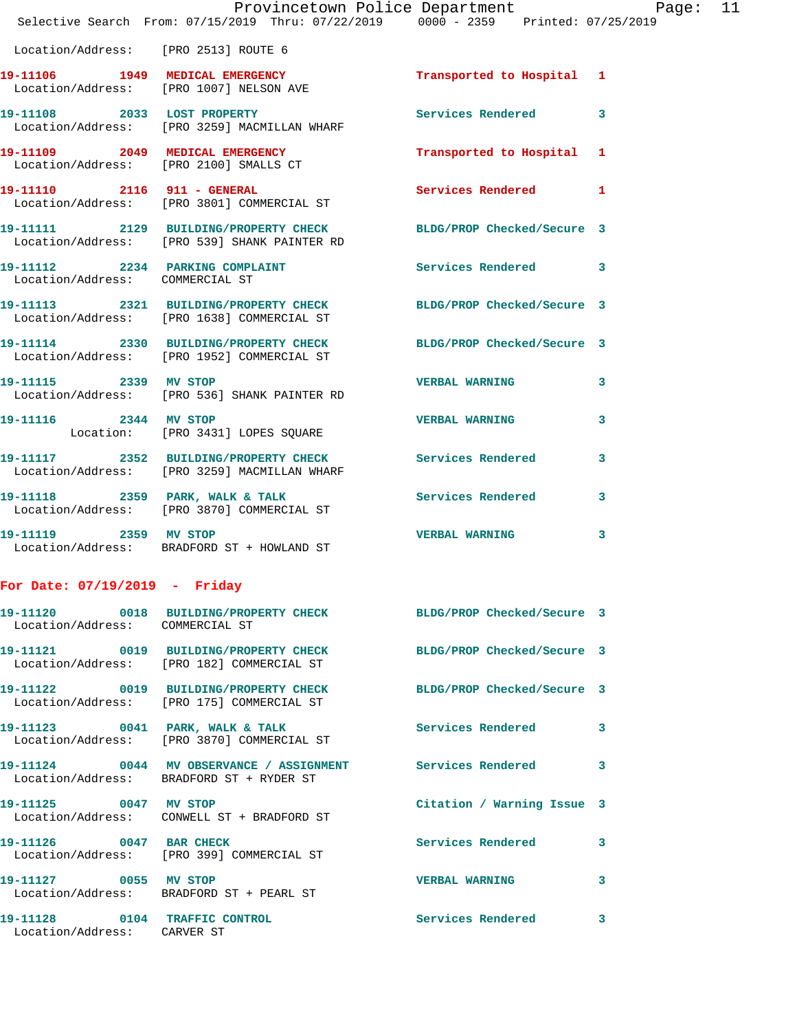|                                      | Provincetown Police Department Page: 11<br>Selective Search From: $07/15/2019$ Thru: $07/22/2019$ $0000$ - 2359 Printed: $07/25/2019$ |                           |   |  |
|--------------------------------------|---------------------------------------------------------------------------------------------------------------------------------------|---------------------------|---|--|
| Location/Address: [PRO 2513] ROUTE 6 |                                                                                                                                       |                           |   |  |
|                                      | 19-11106 1949 MEDICAL EMERGENCY<br>Location/Address: [PRO 1007] NELSON AVE                                                            | Transported to Hospital 1 |   |  |
|                                      | 19-11108 2033 LOST PROPERTY<br>Location/Address: [PRO 3259] MACMILLAN WHARF                                                           | Services Rendered 3       |   |  |
|                                      | 19-11109 2049 MEDICAL EMERGENCY<br>Location/Address: [PRO 2100] SMALLS CT                                                             | Transported to Hospital 1 |   |  |
|                                      | 19-11110 2116 911 - GENERAL<br>Location/Address: [PRO 3801] COMMERCIAL ST                                                             | Services Rendered 1       |   |  |
|                                      | 19-11111 2129 BUILDING/PROPERTY CHECK BLDG/PROP Checked/Secure 3<br>Location/Address: [PRO 539] SHANK PAINTER RD                      |                           |   |  |
|                                      | 19-11112 2234 PARKING COMPLAINT Services Rendered 3<br>Location/Address: COMMERCIAL ST                                                |                           |   |  |
|                                      | 19-11113 2321 BUILDING/PROPERTY CHECK BLDG/PROP Checked/Secure 3<br>Location/Address: [PRO 1638] COMMERCIAL ST                        |                           |   |  |
|                                      | 19-11114 2330 BUILDING/PROPERTY CHECK BLDG/PROP Checked/Secure 3<br>Location/Address: [PRO 1952] COMMERCIAL ST                        |                           |   |  |
|                                      | 19-11115 2339 MV STOP<br>Location/Address: [PRO 536] SHANK PAINTER RD                                                                 | VERBAL WARNING 3          |   |  |
| 19-11116 2344 MV STOP                | Location: [PRO 3431] LOPES SQUARE                                                                                                     | <b>VERBAL WARNING</b>     | 3 |  |
|                                      | 19-11117 2352 BUILDING/PROPERTY CHECK Services Rendered 3<br>Location/Address: [PRO 3259] MACMILLAN WHARF                             |                           |   |  |
|                                      | 19-11118 2359 PARK, WALK & TALK<br>Location/Address: [PRO 3870] COMMERCIAL ST                                                         | Services Rendered 3       |   |  |
| 19-11119 2359 MV STOP                | Location/Address: BRADFORD ST + HOWLAND ST                                                                                            | <b>VERBAL WARNING</b>     | 3 |  |
| For Date: $07/19/2019$ - Friday      |                                                                                                                                       |                           |   |  |
| 19-11120                             | 0018 BUILDING/PROPERTY CHECK BLDG/PROP Checked/Secure 3                                                                               |                           |   |  |

| Location/Address: COMMERCIAL ST                              |                                                                                                                          |                            |                         |
|--------------------------------------------------------------|--------------------------------------------------------------------------------------------------------------------------|----------------------------|-------------------------|
|                                                              | 19-11121  0019 BUILDING/PROPERTY CHECK BLDG/PROP Checked/Secure 3<br>Location/Address: [PRO 182] COMMERCIAL ST           |                            |                         |
|                                                              | Location/Address: [PRO 175] COMMERCIAL ST                                                                                | BLDG/PROP Checked/Secure 3 |                         |
|                                                              | 19-11123 0041 PARK, WALK & TALK<br>Location/Address: [PRO 3870] COMMERCIAL ST                                            | <b>Services Rendered</b>   | $\overline{\mathbf{3}}$ |
|                                                              | 19-11124      0044  MV OBSERVANCE / ASSIGNMENT      Services Rendered      3<br>Location/Address: BRADFORD ST + RYDER ST |                            |                         |
| 19-11125 0047 MV STOP                                        | Location/Address: CONWELL ST + BRADFORD ST                                                                               | Citation / Warning Issue 3 |                         |
| 19-11126 0047 BAR CHECK                                      | Location/Address: [PRO 399] COMMERCIAL ST                                                                                | <b>Services Rendered</b>   | $\overline{3}$          |
| 19-11127 0055 MV STOP                                        | Location/Address: BRADFORD ST + PEARL ST                                                                                 | <b>VERBAL WARNING</b>      | $\mathbf{3}$            |
| 19-11128 0104 TRAFFIC CONTROL<br>Location/Address: CARVER ST |                                                                                                                          | Services Rendered          | 3                       |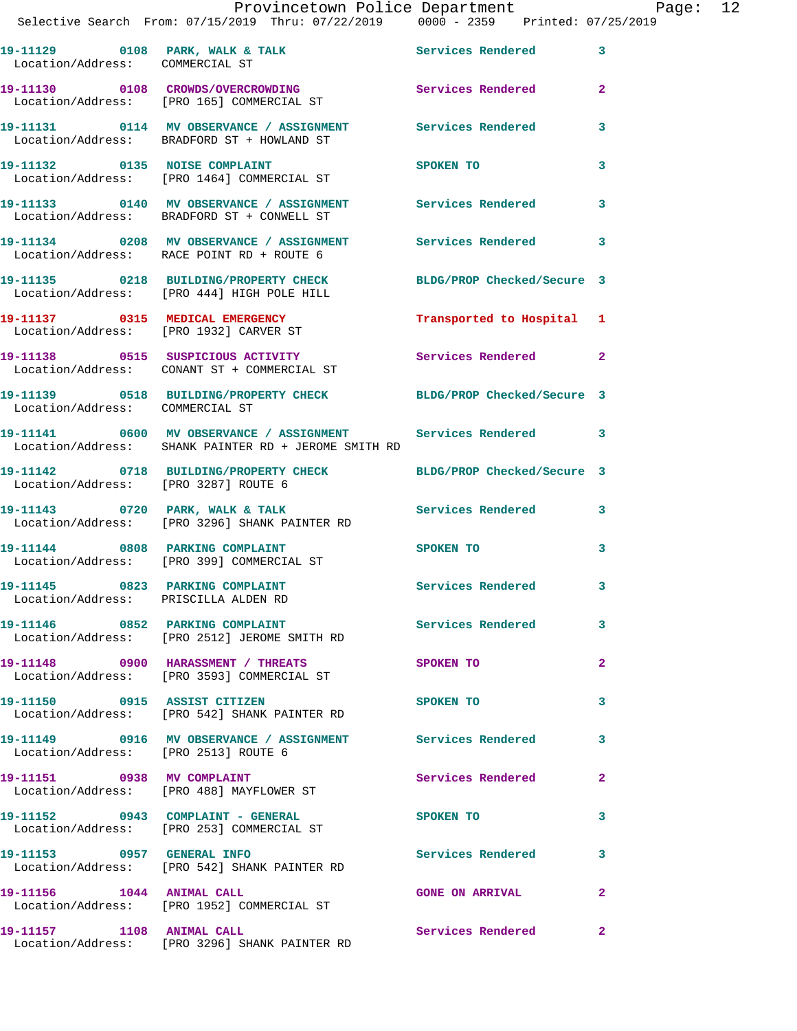|                                                                         | Provincetown Police Department Page: 12<br>Selective Search From: 07/15/2019 Thru: 07/22/2019   0000 - 2359   Printed: 07/25/2019 |                           |                         |  |
|-------------------------------------------------------------------------|-----------------------------------------------------------------------------------------------------------------------------------|---------------------------|-------------------------|--|
| Location/Address: COMMERCIAL ST                                         | 19-11129 0108 PARK, WALK & TALK 3 Services Rendered 3                                                                             |                           |                         |  |
|                                                                         | 19-11130 0108 CROWDS/OVERCROWDING Services Rendered 2<br>Location/Address: [PRO 165] COMMERCIAL ST                                |                           |                         |  |
|                                                                         | 19-11131 0114 MV OBSERVANCE / ASSIGNMENT Services Rendered<br>Location/Address: BRADFORD ST + HOWLAND ST                          |                           | $\overline{\mathbf{3}}$ |  |
|                                                                         | 19-11132 0135 NOISE COMPLAINT<br>Location/Address: [PRO 1464] COMMERCIAL ST                                                       | SPOKEN TO 3               |                         |  |
|                                                                         | 19-11133 0140 MV OBSERVANCE / ASSIGNMENT Services Rendered<br>Location/Address: BRADFORD ST + CONWELL ST                          |                           | 3                       |  |
|                                                                         | 19-11134 0208 MV OBSERVANCE / ASSIGNMENT Services Rendered 3<br>Location/Address: RACE POINT RD + ROUTE 6                         |                           |                         |  |
|                                                                         | 19-11135 0218 BUILDING/PROPERTY CHECK BLDG/PROP Checked/Secure 3<br>Location/Address: [PRO 444] HIGH POLE HILL                    |                           |                         |  |
|                                                                         | 19-11137 0315 MEDICAL EMERGENCY<br>Location/Address: [PRO 1932] CARVER ST                                                         | Transported to Hospital 1 |                         |  |
|                                                                         | 19-11138 0515 SUSPICIOUS ACTIVITY Services Rendered 2<br>Location/Address: CONANT ST + COMMERCIAL ST                              |                           |                         |  |
| Location/Address: COMMERCIAL ST                                         | 19-11139 0518 BUILDING/PROPERTY CHECK BLDG/PROP Checked/Secure 3                                                                  |                           |                         |  |
|                                                                         | 19-11141 0600 MV OBSERVANCE / ASSIGNMENT Services Rendered 3<br>Location/Address: SHANK PAINTER RD + JEROME SMITH RD              |                           |                         |  |
| Location/Address: [PRO 3287] ROUTE 6                                    | 19-11142 0718 BUILDING/PROPERTY CHECK BLDG/PROP Checked/Secure 3                                                                  |                           |                         |  |
|                                                                         | 19-11143 0720 PARK, WALK & TALK Services Rendered 3<br>Location/Address: [PRO 3296] SHANK PAINTER RD                              |                           |                         |  |
|                                                                         | 19-11144 0808 PARKING COMPLAINT<br>Location/Address: [PRO 399] COMMERCIAL ST                                                      | SPOKEN TO                 | 3                       |  |
| 19-11145 0823 PARKING COMPLAINT<br>Location/Address: PRISCILLA ALDEN RD |                                                                                                                                   | Services Rendered         |                         |  |
|                                                                         | 19-11146 0852 PARKING COMPLAINT Services Rendered 3<br>Location/Address: [PRO 2512] JEROME SMITH RD                               |                           |                         |  |
|                                                                         | 19-11148 0900 HARASSMENT / THREATS<br>Location/Address: [PRO 3593] COMMERCIAL ST                                                  | SPOKEN TO                 | $\mathbf{2}$            |  |
|                                                                         | 19-11150 0915 ASSIST CITIZEN<br>Location/Address: [PRO 542] SHANK PAINTER RD                                                      | SPOKEN TO                 | 3                       |  |
| Location/Address: [PRO 2513] ROUTE 6                                    | 19-11149 0916 MV OBSERVANCE / ASSIGNMENT Services Rendered 3                                                                      |                           |                         |  |
|                                                                         | 19-11151 0938 MV COMPLAINT<br>Location/Address: [PRO 488] MAYFLOWER ST                                                            | Services Rendered         | $\mathbf{2}$            |  |
|                                                                         | 19-11152 0943 COMPLAINT - GENERAL<br>Location/Address: [PRO 253] COMMERCIAL ST                                                    | SPOKEN TO                 | 3                       |  |
|                                                                         | 19-11153 0957 GENERAL INFO<br>Location/Address: [PRO 542] SHANK PAINTER RD                                                        | Services Rendered         | -3                      |  |
|                                                                         | 19-11156 1044 ANIMAL CALL<br>Location/Address: [PRO 1952] COMMERCIAL ST                                                           | GONE ON ARRIVAL 2         |                         |  |
|                                                                         | 19-11157 1108 ANIMAL CALL<br>Location/Address: [PRO 3296] SHANK PAINTER RD                                                        | Services Rendered         | $\mathbf{2}$            |  |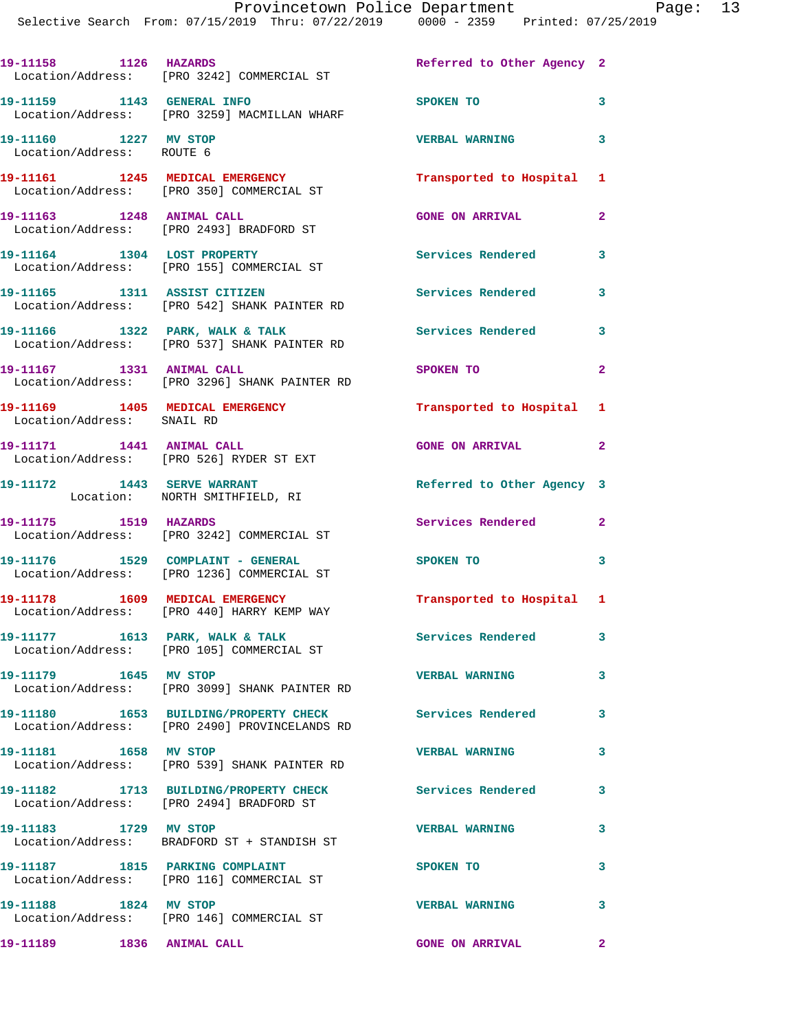Provincetown Police Department Fage: 13

19-11158 1126 HAZARDS Referred to Other Agency 2 Location/Address: [PRO 3242] COMMERCIAL ST **19-11159 1143 GENERAL INFO SPOKEN TO 3**  Location/Address: [PRO 3259] MACMILLAN WHARF **19-11160 1227 MV STOP VERBAL WARNING 3**  Location/Address: ROUTE 6 **19-11161 1245 MEDICAL EMERGENCY Transported to Hospital 1**  Location/Address: [PRO 350] COMMERCIAL ST **19-11163 1248 ANIMAL CALL GONE ON ARRIVAL 2**  Location/Address: [PRO 2493] BRADFORD ST **19-11164 1304 LOST PROPERTY Services Rendered 3**  Location/Address: [PRO 155] COMMERCIAL ST **19-11165 1311 ASSIST CITIZEN Services Rendered 3**  Location/Address: [PRO 542] SHANK PAINTER RD 19-11166 1322 PARK, WALK & TALK **Services Rendered** 3 Location/Address: [PRO 537] SHANK PAINTER RD **19-11167 1331 ANIMAL CALL SPOKEN TO 2**  Location/Address: [PRO 3296] SHANK PAINTER RD **19-11169 1405 MEDICAL EMERGENCY Transported to Hospital 1**  Location/Address: SNAIL RD **19-11171 1441 ANIMAL CALL GONE ON ARRIVAL 2**  Location/Address: [PRO 526] RYDER ST EXT **19-11172 1443 SERVE WARRANT Referred to Other Agency 3**  Location: NORTH SMITHFIELD, RI **19-11175 1519 HAZARDS Services Rendered 2**  Location/Address: [PRO 3242] COMMERCIAL ST **19-11176 1529 COMPLAINT - GENERAL SPOKEN TO 3**  Location/Address: [PRO 1236] COMMERCIAL ST **19-11178 1609 MEDICAL EMERGENCY Transported to Hospital 1**  Location/Address: [PRO 440] HARRY KEMP WAY 19-11177 1613 PARK, WALK & TALK **Services Rendered** 3 Location/Address: [PRO 105] COMMERCIAL ST **19-11179 1645 MV STOP VERBAL WARNING 3**  Location/Address: [PRO 3099] SHANK PAINTER RD **19-11180 1653 BUILDING/PROPERTY CHECK Services Rendered 3**  Location/Address: [PRO 2490] PROVINCELANDS RD **19-11181 1658 MV STOP VERBAL WARNING 3**  Location/Address: [PRO 539] SHANK PAINTER RD **19-11182 1713 BUILDING/PROPERTY CHECK Services Rendered 3**  Location/Address: [PRO 2494] BRADFORD ST **19-11183 1729 MV STOP VERBAL WARNING 3**  Location/Address: BRADFORD ST + STANDISH ST **19-11187 1815 PARKING COMPLAINT SPOKEN TO 3**  Location/Address: [PRO 116] COMMERCIAL ST **19-11188 1824 MV STOP VERBAL WARNING 3**  Location/Address: [PRO 146] COMMERCIAL ST **19-11189 1836 ANIMAL CALL GONE ON ARRIVAL 2**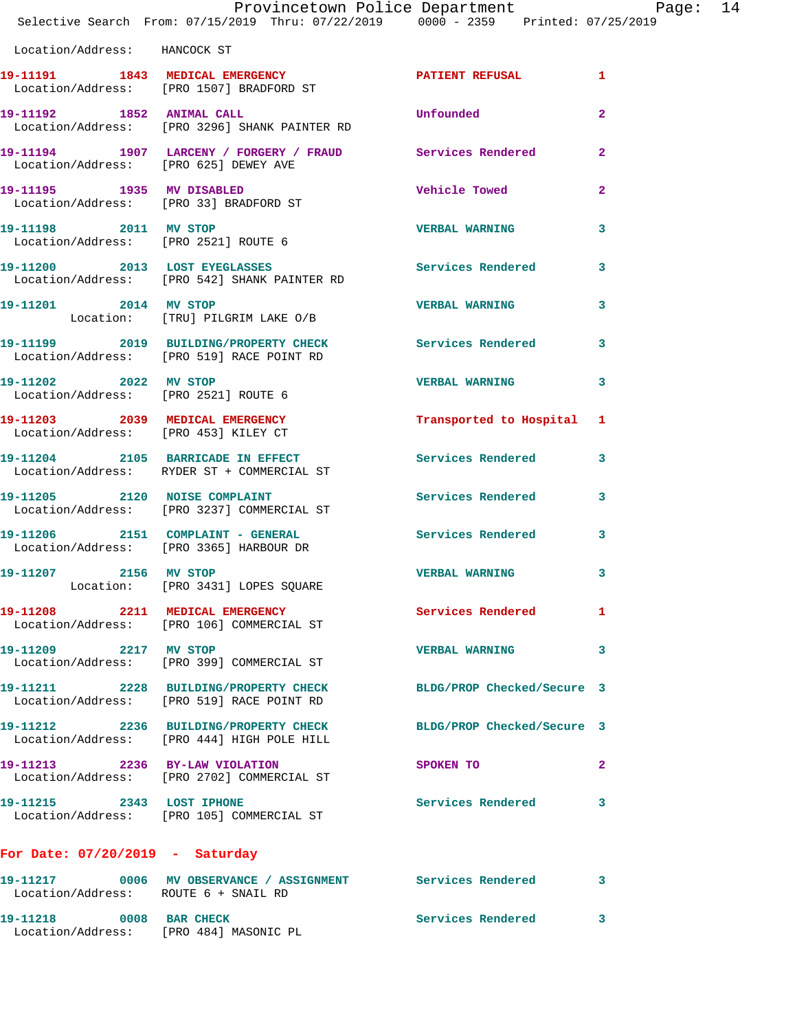|                                       | Provincetown Police Department Page: 14<br>Selective Search From: 07/15/2019 Thru: 07/22/2019   0000 - 2359   Printed: 07/25/2019 |                           |                |  |
|---------------------------------------|-----------------------------------------------------------------------------------------------------------------------------------|---------------------------|----------------|--|
| Location/Address: HANCOCK ST          |                                                                                                                                   |                           |                |  |
|                                       | 19-11191 1843 MEDICAL EMERGENCY<br>Location/Address: [PRO 1507] BRADFORD ST                                                       | PATIENT REFUSAL 1         |                |  |
|                                       | 19-11192 1852 ANIMAL CALL<br>Location/Address: [PRO 3296] SHANK PAINTER RD                                                        | Unfounded                 | $\overline{2}$ |  |
| Location/Address: [PRO 625] DEWEY AVE | 19-11194 1907 LARCENY / FORGERY / FRAUD Services Rendered 2                                                                       |                           |                |  |
|                                       | 19-11195 1935 MV DISABLED<br>Location/Address: [PRO 33] BRADFORD ST                                                               | Vehicle Towed             | $\mathbf{2}$   |  |
| 19-11198 2011 MV STOP                 | Location/Address: [PRO 2521] ROUTE 6                                                                                              | VERBAL WARNING 3          |                |  |
|                                       | 19-11200 2013 LOST EYEGLASSES<br>Location/Address: [PRO 542] SHANK PAINTER RD                                                     | Services Rendered 3       |                |  |
| 19-11201 2014 MV STOP                 | Location: [TRU] PILGRIM LAKE O/B                                                                                                  | <b>VERBAL WARNING</b> 3   |                |  |
|                                       | 19-11199 2019 BUILDING/PROPERTY CHECK Services Rendered 3<br>Location/Address: [PRO 519] RACE POINT RD                            |                           |                |  |
| 19-11202 2022 MV STOP                 | Location/Address: [PRO 2521] ROUTE 6                                                                                              | <b>VERBAL WARNING</b>     | $\mathbf{3}$   |  |
|                                       | 19-11203 2039 MEDICAL EMERGENCY<br>Location/Address: [PRO 453] KILEY CT                                                           | Transported to Hospital 1 |                |  |
|                                       | 19-11204 2105 BARRICADE IN EFFECT Services Rendered 3<br>Location/Address: RYDER ST + COMMERCIAL ST                               |                           |                |  |
|                                       | 19-11205 2120 NOISE COMPLAINT<br>Location/Address: [PRO 3237] COMMERCIAL ST                                                       | Services Rendered 3       |                |  |
|                                       | 19-11206 2151 COMPLAINT - GENERAL Services Rendered 3<br>Location/Address: [PRO 3365] HARBOUR DR                                  |                           |                |  |
| 19-11207 2156 MV STOP                 | Location: [PRO 3431] LOPES SQUARE                                                                                                 | <b>VERBAL WARNING</b> 3   |                |  |
|                                       | 19-11208 2211 MEDICAL EMERGENCY<br>Location/Address: [PRO 106] COMMERCIAL ST                                                      | Services Rendered 1       |                |  |
| 19-11209 2217 MV STOP                 | Location/Address: [PRO 399] COMMERCIAL ST                                                                                         | VERBAL WARNING 3          |                |  |
|                                       | 19-11211 2228 BUILDING/PROPERTY CHECK BLDG/PROP Checked/Secure 3<br>Location/Address: [PRO 519] RACE POINT RD                     |                           |                |  |
|                                       | 19-11212 2236 BUILDING/PROPERTY CHECK BLDG/PROP Checked/Secure 3<br>Location/Address: [PRO 444] HIGH POLE HILL                    |                           |                |  |
|                                       | 19-11213 2236 BY-LAW VIOLATION<br>Location/Address: [PRO 2702] COMMERCIAL ST                                                      | SPOKEN TO                 | $\mathbf{2}$   |  |
|                                       | 19-11215 2343 LOST IPHONE<br>Location/Address: [PRO 105] COMMERCIAL ST                                                            | Services Rendered 3       |                |  |
| For Date: $07/20/2019$ - Saturday     |                                                                                                                                   |                           |                |  |
| Location/Address: ROUTE 6 + SNAIL RD  | 19-11217 0006 MV OBSERVANCE / ASSIGNMENT Services Rendered                                                                        |                           | 3              |  |
| 19-11218 0008 BAR CHECK               | Location/Address: [PRO 484] MASONIC PL                                                                                            | Services Rendered 3       |                |  |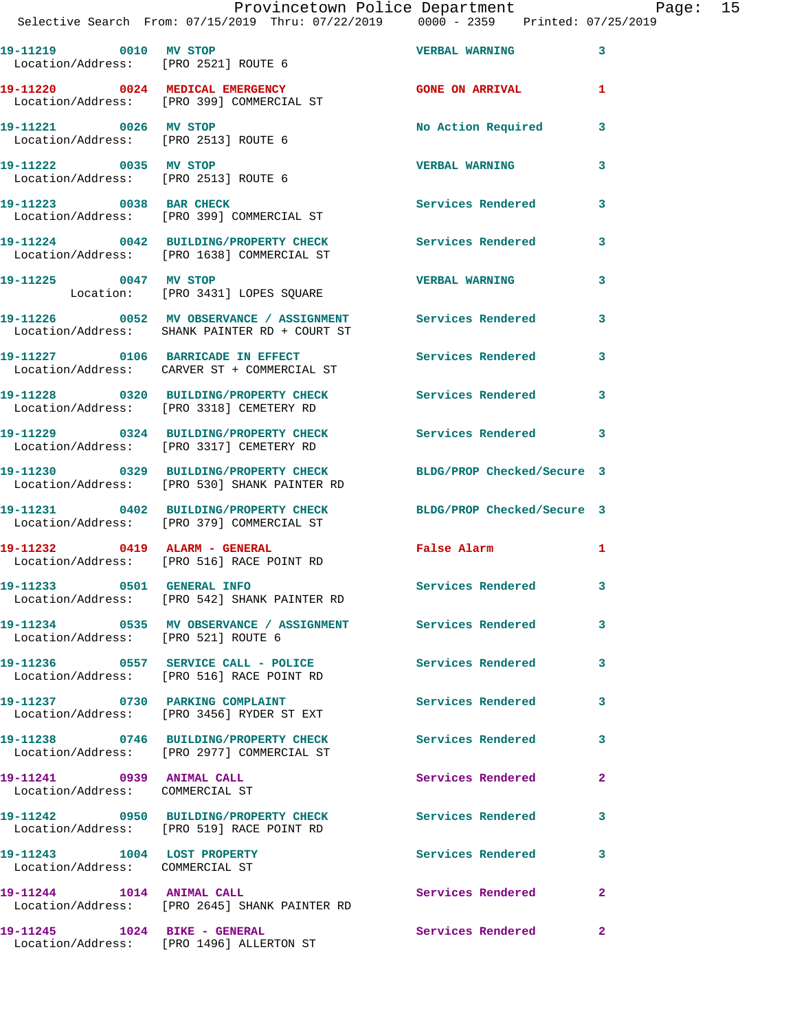| 19-11219 0010 MV STOP<br>Location/Address: [PRO 2521] ROUTE 6  |                                                                                                             | <b>VERBAL WARNING</b>      | 3                          |
|----------------------------------------------------------------|-------------------------------------------------------------------------------------------------------------|----------------------------|----------------------------|
|                                                                | 19-11220 0024 MEDICAL EMERGENCY<br>Location/Address: [PRO 399] COMMERCIAL ST                                | <b>GONE ON ARRIVAL</b>     | $\mathbf{1}$               |
| 19-11221 0026 MV STOP<br>Location/Address: [PRO 2513] ROUTE 6  |                                                                                                             | No Action Required         | 3                          |
| 19-11222 0035 MV STOP<br>Location/Address: [PRO 2513] ROUTE 6  |                                                                                                             | <b>VERBAL WARNING</b>      | 3                          |
| 19-11223 0038 BAR CHECK                                        | Location/Address: [PRO 399] COMMERCIAL ST                                                                   | <b>Services Rendered</b>   | 3                          |
|                                                                | 19-11224 0042 BUILDING/PROPERTY CHECK<br>Location/Address: [PRO 1638] COMMERCIAL ST                         | <b>Services Rendered</b>   | 3                          |
| 19-11225 0047 MV STOP                                          | Location: [PRO 3431] LOPES SQUARE                                                                           | <b>VERBAL WARNING</b>      | 3                          |
|                                                                | 19-11226 0052 MV OBSERVANCE / ASSIGNMENT Services Rendered<br>Location/Address: SHANK PAINTER RD + COURT ST |                            | 3                          |
|                                                                | 19-11227 0106 BARRICADE IN EFFECT<br>Location/Address: CARVER ST + COMMERCIAL ST                            | <b>Services Rendered</b>   | 3                          |
|                                                                | 19-11228 0320 BUILDING/PROPERTY CHECK<br>Location/Address: [PRO 3318] CEMETERY RD                           | Services Rendered          | 3                          |
|                                                                | 19-11229 0324 BUILDING/PROPERTY CHECK<br>Location/Address: [PRO 3317] CEMETERY RD                           | Services Rendered          | 3                          |
|                                                                | 19-11230 0329 BUILDING/PROPERTY CHECK<br>Location/Address: [PRO 530] SHANK PAINTER RD                       | BLDG/PROP Checked/Secure 3 |                            |
|                                                                | 19-11231 0402 BUILDING/PROPERTY CHECK<br>Location/Address: [PRO 379] COMMERCIAL ST                          | BLDG/PROP Checked/Secure 3 |                            |
| 19-11232 0419 ALARM - GENERAL                                  | Location/Address: [PRO 516] RACE POINT RD                                                                   | False Alarm                | $\mathbf{1}$               |
|                                                                | 19-11233 0501 GENERAL INFO<br>Location/Address: [PRO 542] SHANK PAINTER RD                                  | Services Rendered 3        |                            |
| Location/Address: [PRO 521] ROUTE 6                            | 19-11234 0535 MV OBSERVANCE / ASSIGNMENT                                                                    | <b>Services Rendered</b>   |                            |
|                                                                | 19-11236 0557 SERVICE CALL - POLICE<br>Location/Address: [PRO 516] RACE POINT RD                            | Services Rendered          | $\overline{\phantom{a}}$ 3 |
| 19-11237 0730 PARKING COMPLAINT                                | Location/Address: [PRO 3456] RYDER ST EXT                                                                   | <b>Services Rendered</b>   | 3                          |
|                                                                | 19-11238 0746 BUILDING/PROPERTY CHECK<br>Location/Address: [PRO 2977] COMMERCIAL ST                         | Services Rendered          | 3                          |
| 19-11241 0939 ANIMAL CALL<br>Location/Address: COMMERCIAL ST   |                                                                                                             | Services Rendered          | $\mathbf{2}$               |
|                                                                | 19-11242 0950 BUILDING/PROPERTY CHECK<br>Location/Address: [PRO 519] RACE POINT RD                          | Services Rendered          | 3                          |
| 19-11243 1004 LOST PROPERTY<br>Location/Address: COMMERCIAL ST |                                                                                                             | Services Rendered          | 3                          |
| 19-11244 1014 ANIMAL CALL                                      | Location/Address: [PRO 2645] SHANK PAINTER RD                                                               | Services Rendered          | $\mathbf{2}$               |
| 19-11245    1024    BIKE - GENERAL                             | Location/Address: [PRO 1496] ALLERTON ST                                                                    | Services Rendered          | $\mathbf{2}$               |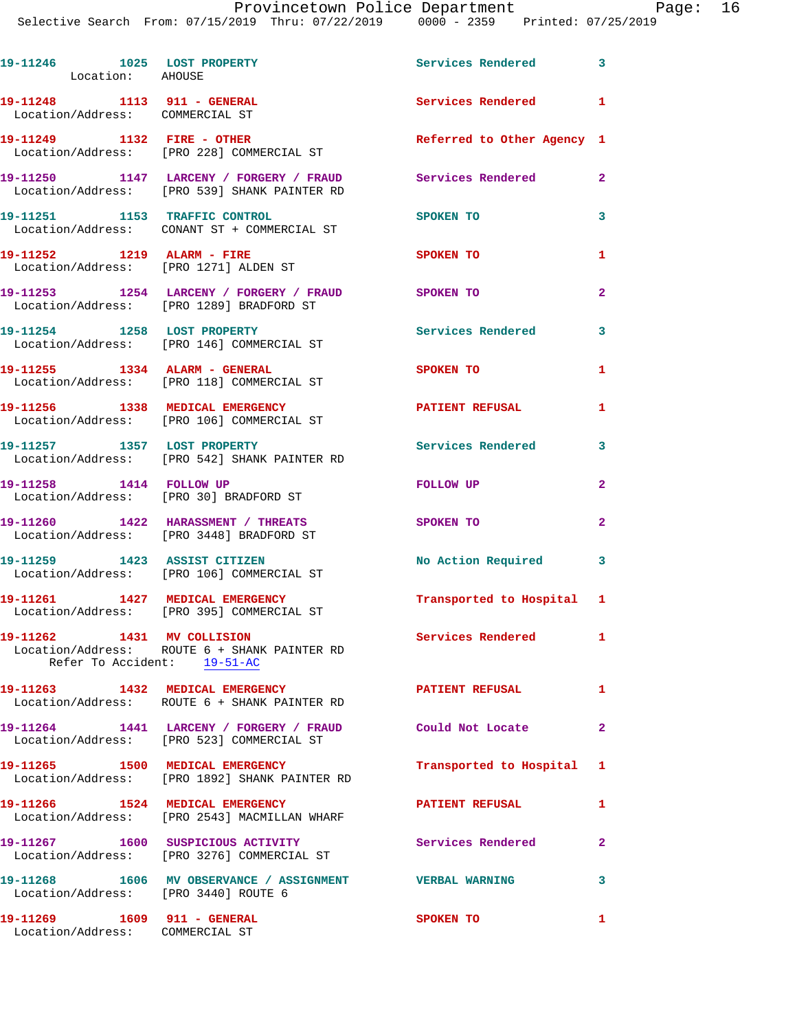Provincetown Police Department Page: 16 Selective Search From:

|                             |  | Provincetown Police Department |             |  |                     | Pa |
|-----------------------------|--|--------------------------------|-------------|--|---------------------|----|
| 07/15/2019 Thru: 07/22/2019 |  |                                | 0000 - 2359 |  | Printed: 07/25/2019 |    |
|                             |  |                                |             |  |                     |    |
|                             |  |                                |             |  |                     |    |

| 19-11246 1025 LOST PROPERTY<br>Location: AHOUSE                      |                                                                                                             | Services Rendered 3        |                         |
|----------------------------------------------------------------------|-------------------------------------------------------------------------------------------------------------|----------------------------|-------------------------|
| 19-11248 1113 911 - GENERAL<br>Location/Address: COMMERCIAL ST       |                                                                                                             | Services Rendered 1        |                         |
| 19-11249 1132 FIRE - OTHER                                           | Location/Address: [PRO 228] COMMERCIAL ST                                                                   | Referred to Other Agency 1 |                         |
|                                                                      | 19-11250 1147 LARCENY / FORGERY / FRAUD Services Rendered 2<br>Location/Address: [PRO 539] SHANK PAINTER RD |                            |                         |
|                                                                      | 19-11251 1153 TRAFFIC CONTROL<br>Location/Address: CONANT ST + COMMERCIAL ST                                | <b>SPOKEN TO</b>           | 3                       |
|                                                                      | 19-11252 1219 ALARM - FIRE<br>Location/Address: [PRO 1271] ALDEN ST                                         | SPOKEN TO                  | 1                       |
|                                                                      | 19-11253 1254 LARCENY / FORGERY / FRAUD SPOKEN TO<br>Location/Address: [PRO 1289] BRADFORD ST               |                            | $\mathbf{2}$            |
|                                                                      | 19-11254 1258 LOST PROPERTY<br>Location/Address: [PRO 146] COMMERCIAL ST                                    | Services Rendered 3        |                         |
| 19-11255 1334 ALARM - GENERAL                                        | Location/Address: [PRO 118] COMMERCIAL ST                                                                   | SPOKEN TO                  | 1                       |
|                                                                      | 19-11256 1338 MEDICAL EMERGENCY<br>Location/Address: [PRO 106] COMMERCIAL ST                                | PATIENT REFUSAL            | 1                       |
| 19-11257 1357 LOST PROPERTY                                          | Location/Address: [PRO 542] SHANK PAINTER RD                                                                | Services Rendered 3        |                         |
| 19-11258 1414 FOLLOW UP                                              | Location/Address: [PRO 30] BRADFORD ST                                                                      | <b>FOLLOW UP</b>           | $\mathbf{2}$            |
|                                                                      | 19-11260 1422 HARASSMENT / THREATS<br>Location/Address: [PRO 3448] BRADFORD ST                              | SPOKEN TO                  | $\mathbf{2}$            |
|                                                                      | 19-11259 1423 ASSIST CITIZEN<br>Location/Address: [PRO 106] COMMERCIAL ST                                   | No Action Required 3       |                         |
|                                                                      | 19-11261  1427 MEDICAL EMERGENCY<br>Location/Address: [PRO 395] COMMERCIAL ST                               | Transported to Hospital 1  |                         |
| 19-11262 1431 MV COLLISION<br>Refer To Accident: 19-51-AC            | Location/Address: ROUTE 6 + SHANK PAINTER RD                                                                | Services Rendered          | $\mathbf{1}$            |
|                                                                      | 19-11263 1432 MEDICAL EMERGENCY<br>Location/Address: ROUTE 6 + SHANK PAINTER RD                             | PATIENT REFUSAL 1          |                         |
|                                                                      | 19-11264 1441 LARCENY / FORGERY / FRAUD Could Not Locate<br>Location/Address: [PRO 523] COMMERCIAL ST       | $\sim$ 2                   |                         |
|                                                                      | 19-11265 1500 MEDICAL EMERGENCY<br>Location/Address: [PRO 1892] SHANK PAINTER RD                            | Transported to Hospital 1  |                         |
|                                                                      | 19-11266 1524 MEDICAL EMERGENCY<br>Location/Address: [PRO 2543] MACMILLAN WHARF                             | <b>PATIENT REFUSAL</b>     | $\mathbf{1}$            |
|                                                                      | 19-11267  1600 SUSPICIOUS ACTIVITY<br>Location/Address: [PRO 3276] COMMERCIAL ST                            | Services Rendered 2        |                         |
| Location/Address: [PRO 3440] ROUTE 6                                 | 19-11268 1606 MV OBSERVANCE / ASSIGNMENT VERBAL WARNING                                                     |                            | $\overline{\mathbf{3}}$ |
| 19-11269    1609    911 - GENERAL<br>Location/Address: COMMERCIAL ST |                                                                                                             | SPOKEN TO                  | 1                       |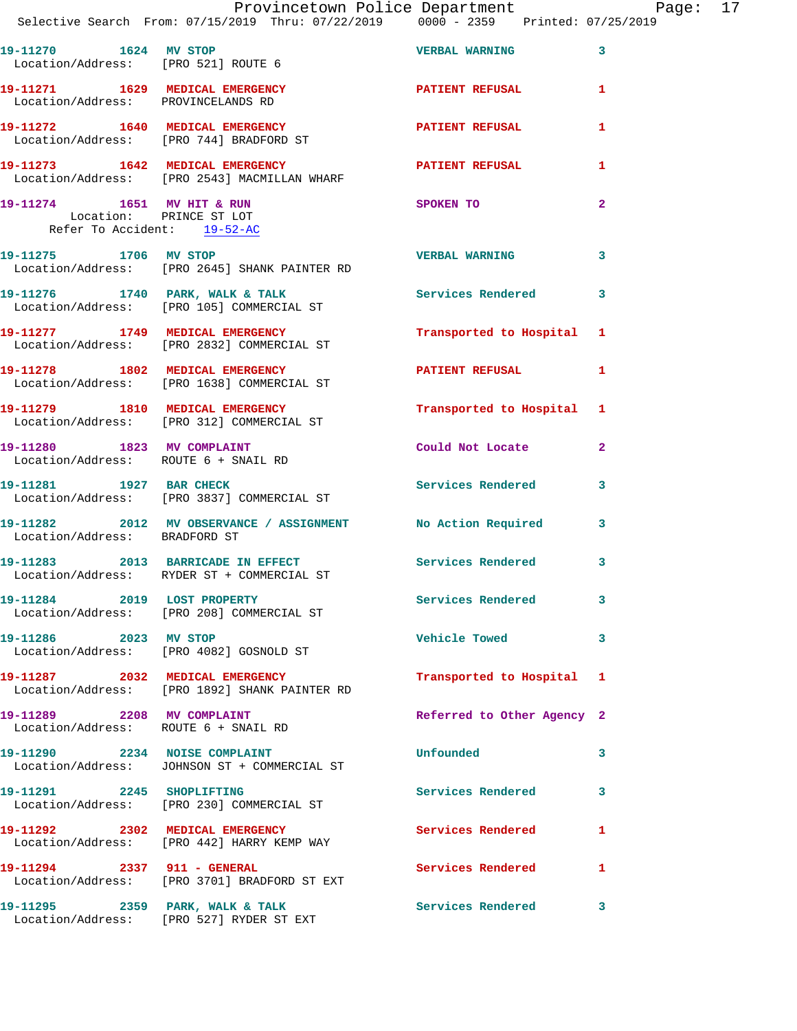|                                                                                                                 | Provincetown Police Department Page: 17<br>Selective Search From: $07/15/2019$ Thru: $07/22/2019$ 0000 - 2359 Printed: $07/25/2019$ |                            |              |
|-----------------------------------------------------------------------------------------------------------------|-------------------------------------------------------------------------------------------------------------------------------------|----------------------------|--------------|
| Location/Address: [PRO 521] ROUTE 6                                                                             | 19-11270 1624 MV STOP 1688 VERBAL WARNING 3                                                                                         |                            |              |
| Location/Address: PROVINCELANDS RD                                                                              | 19-11271 1629 MEDICAL EMERGENCY PATIENT REFUSAL                                                                                     |                            | $\mathbf{1}$ |
|                                                                                                                 | 19-11272 1640 MEDICAL EMERGENCY<br>Location/Address: [PRO 744] BRADFORD ST                                                          | PATIENT REFUSAL            | 1            |
|                                                                                                                 | 19-11273   1642   MEDICAL EMERGENCY   PATIENT REFUSAL Location/Address: [PRO 2543] MACMILLAN WHARF                                  |                            | 1            |
| 19-11274 1651 MV HIT & RUN<br>Location: PRINCE ST LOT<br>Location: PRINCE ST LOT<br>Refer To Accident: 19-52-AC |                                                                                                                                     | SPOKEN TO                  | $\mathbf{2}$ |
|                                                                                                                 | 19-11275 1706 MV STOP<br>Location/Address: [PRO 2645] SHANK PAINTER RD                                                              | <b>VERBAL WARNING</b>      | 3            |
|                                                                                                                 | 19-11276 1740 PARK, WALK & TALK Services Rendered 3<br>Location/Address: [PRO 105] COMMERCIAL ST                                    |                            |              |
|                                                                                                                 | 19-11277 1749 MEDICAL EMERGENCY<br>Location/Address: [PRO 2832] COMMERCIAL ST                                                       | Transported to Hospital 1  |              |
|                                                                                                                 | 19-11278 1802 MEDICAL EMERGENCY 1 PATIENT REFUSAL 1<br>Location/Address: [PRO 1638] COMMERCIAL ST                                   |                            |              |
|                                                                                                                 | 19-11279 1810 MEDICAL EMERGENCY<br>Location/Address: [PRO 312] COMMERCIAL ST                                                        | Transported to Hospital 1  |              |
| Location/Address: ROUTE 6 + SNAIL RD                                                                            | 19-11280 1823 MV COMPLAINT                                                                                                          | Could Not Locate           | $\mathbf{2}$ |
|                                                                                                                 | 19-11281             1927   BAR CHECK<br>Location/Address:     [PRO 3837] COMMERCIAL ST                                             | Services Rendered 3        |              |
| Location/Address: BRADFORD ST                                                                                   | 19-11282 2012 MV OBSERVANCE / ASSIGNMENT No Action Required 3                                                                       |                            |              |
|                                                                                                                 | 19-11283 2013 BARRICADE IN EFFECT Services Rendered<br>Location/Address: RYDER ST + COMMERCIAL ST                                   |                            | 3            |
|                                                                                                                 | 19-11284 2019 LOST PROPERTY<br>Location/Address: [PRO 208] COMMERCIAL ST                                                            | Services Rendered          | 3            |
|                                                                                                                 | 19-11286 2023 MV STOP<br>Location/Address: [PRO 4082] GOSNOLD ST                                                                    | <b>Vehicle Towed</b>       | 3            |
|                                                                                                                 | 19-11287 2032 MEDICAL EMERGENCY<br>Location/Address: [PRO 1892] SHANK PAINTER RD                                                    | Transported to Hospital 1  |              |
| Location/Address: ROUTE 6 + SNAIL RD                                                                            | 19-11289 2208 MV COMPLAINT                                                                                                          | Referred to Other Agency 2 |              |
|                                                                                                                 | 19-11290 2234 NOISE COMPLAINT<br>Location/Address: JOHNSON ST + COMMERCIAL ST                                                       | Unfounded                  | 3            |
| 19-11291 2245 SHOPLIFTING                                                                                       | Location/Address: [PRO 230] COMMERCIAL ST                                                                                           | Services Rendered          | 3            |
|                                                                                                                 | 19-11292 2302 MEDICAL EMERGENCY<br>Location/Address: [PRO 442] HARRY KEMP WAY                                                       | Services Rendered          | 1            |
| 19-11294 2337 911 - GENERAL                                                                                     | Location/Address: [PRO 3701] BRADFORD ST EXT                                                                                        | Services Rendered          | $\mathbf{1}$ |
|                                                                                                                 | 19-11295 2359 PARK, WALK & TALK<br>Location/Address: [PRO 527] RYDER ST EXT                                                         | <b>Services Rendered</b>   | 3            |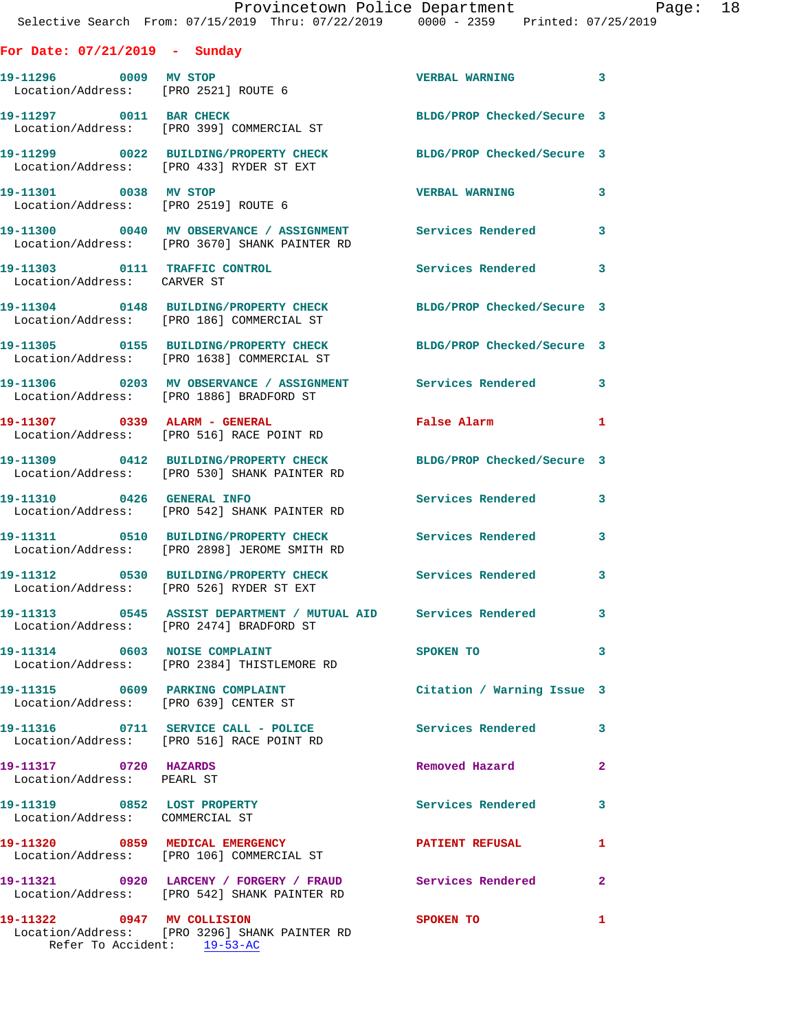|                                                                | Provincetown Police Department<br>Selective Search From: 07/15/2019 Thru: 07/22/2019 0000 - 2359 Printed: 07/25/2019 |                            |              |
|----------------------------------------------------------------|----------------------------------------------------------------------------------------------------------------------|----------------------------|--------------|
| For Date: $07/21/2019$ - Sunday                                |                                                                                                                      |                            |              |
|                                                                | 19-11296 0009 MV STOP<br>Location/Address: [PRO 2521] ROUTE 6                                                        | <b>VERBAL WARNING 3</b>    |              |
|                                                                | 19-11297 0011 BAR CHECK<br>Location/Address: [PRO 399] COMMERCIAL ST                                                 | BLDG/PROP Checked/Secure 3 |              |
|                                                                | 19-11299 0022 BUILDING/PROPERTY CHECK BLDG/PROP Checked/Secure 3<br>Location/Address: [PRO 433] RYDER ST EXT         |                            |              |
| 19-11301 0038 MV STOP                                          | Location/Address: [PRO 2519] ROUTE 6                                                                                 | <b>VERBAL WARNING 3</b>    |              |
|                                                                | 19-11300 0040 MV OBSERVANCE / ASSIGNMENT Services Rendered 3<br>Location/Address: [PRO 3670] SHANK PAINTER RD        |                            |              |
| Location/Address: CARVER ST                                    | 19-11303 0111 TRAFFIC CONTROL Services Rendered 3                                                                    |                            |              |
|                                                                | 19-11304 0148 BUILDING/PROPERTY CHECK BLDG/PROP Checked/Secure 3<br>Location/Address: [PRO 186] COMMERCIAL ST        |                            |              |
|                                                                | 19-11305 0155 BUILDING/PROPERTY CHECK BLDG/PROP Checked/Secure 3<br>Location/Address: [PRO 1638] COMMERCIAL ST       |                            |              |
|                                                                | 19-11306 0203 MV OBSERVANCE / ASSIGNMENT Services Rendered 3<br>Location/Address: [PRO 1886] BRADFORD ST             |                            |              |
|                                                                | 19-11307 0339 ALARM - GENERAL<br>Location/Address: [PRO 516] RACE POINT RD                                           | False Alarm                | $\mathbf{1}$ |
|                                                                | 19-11309 0412 BUILDING/PROPERTY CHECK BLDG/PROP Checked/Secure 3<br>Location/Address: [PRO 530] SHANK PAINTER RD     |                            |              |
|                                                                | 19-11310 0426 GENERAL INFO<br>Location/Address: [PRO 542] SHANK PAINTER RD                                           | Services Rendered 3        |              |
|                                                                | 19-11311 0510 BUILDING/PROPERTY CHECK Services Rendered 3<br>Location/Address: [PRO 2898] JEROME SMITH RD            |                            |              |
|                                                                | 19-11312 0530 BUILDING/PROPERTY CHECK Services Rendered 3<br>Location/Address: [PRO 526] RYDER ST EXT                |                            |              |
|                                                                | 19-11313 0545 ASSIST DEPARTMENT / MUTUAL AID Services Rendered 3<br>Location/Address: [PRO 2474] BRADFORD ST         |                            |              |
|                                                                | 19-11314 0603 NOISE COMPLAINT SPOKEN TO 3<br>Location/Address: [PRO 2384] THISTLEMORE RD                             |                            |              |
|                                                                |                                                                                                                      | Citation / Warning Issue 3 |              |
|                                                                | 19-11316 0711 SERVICE CALL - POLICE 3 Services Rendered 3<br>Location/Address: [PRO 516] RACE POINT RD               |                            |              |
| 19-11317 0720 HAZARDS<br>Location/Address: PEARL ST            |                                                                                                                      | Removed Hazard             | $\mathbf{2}$ |
| 19-11319 0852 LOST PROPERTY<br>Location/Address: COMMERCIAL ST |                                                                                                                      | Services Rendered 3        |              |
|                                                                | 19-11320 0859 MEDICAL EMERGENCY<br>Location/Address: [PRO 106] COMMERCIAL ST                                         | PATIENT REFUSAL 1          |              |
|                                                                | 19-11321 0920 LARCENY / FORGERY / FRAUD Services Rendered 2<br>Location/Address: [PRO 542] SHANK PAINTER RD          |                            |              |
| 19-11322 0947 MV COLLISION                                     | Location/Address: [PRO 3296] SHANK PAINTER RD                                                                        | <b>SPOKEN TO</b>           | $\mathbf{1}$ |

Refer To Accident: 19-53-AC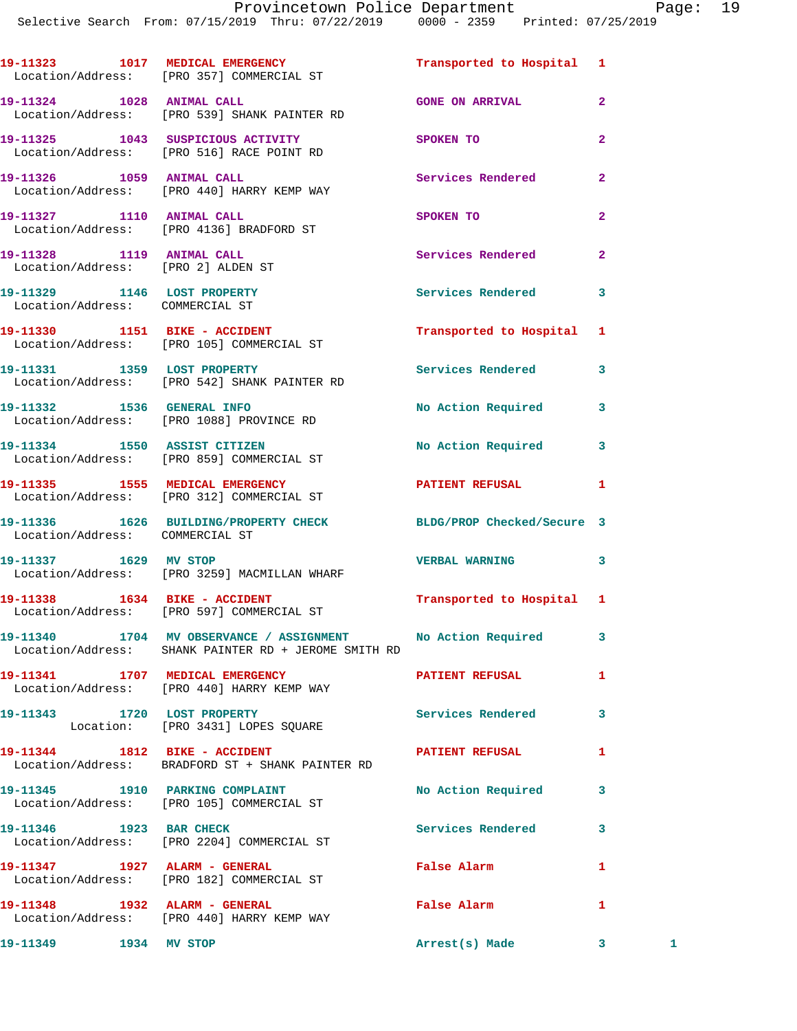|                                                                 | 19-11323 1017 MEDICAL EMERGENCY<br>Location/Address: [PRO 357] COMMERCIAL ST                     | Transported to Hospital 1 |                |              |
|-----------------------------------------------------------------|--------------------------------------------------------------------------------------------------|---------------------------|----------------|--------------|
| 19-11324 1028 ANIMAL CALL                                       | Location/Address: [PRO 539] SHANK PAINTER RD                                                     | <b>GONE ON ARRIVAL</b>    | $\overline{2}$ |              |
|                                                                 | 19-11325 1043 SUSPICIOUS ACTIVITY<br>Location/Address: [PRO 516] RACE POINT RD                   | SPOKEN TO                 | $\overline{a}$ |              |
| 19-11326 1059 ANIMAL CALL                                       | Location/Address: [PRO 440] HARRY KEMP WAY                                                       | Services Rendered         | $\overline{a}$ |              |
| 19-11327 1110 ANIMAL CALL                                       | Location/Address: [PRO 4136] BRADFORD ST                                                         | SPOKEN TO                 | $\overline{2}$ |              |
| 19-11328 1119 ANIMAL CALL<br>Location/Address: [PRO 2] ALDEN ST |                                                                                                  | Services Rendered         | $\mathbf{2}$   |              |
| 19-11329 1146 LOST PROPERTY<br>Location/Address: COMMERCIAL ST  |                                                                                                  | Services Rendered         | 3              |              |
|                                                                 | 19-11330 1151 BIKE - ACCIDENT<br>Location/Address: [PRO 105] COMMERCIAL ST                       | Transported to Hospital   | 1              |              |
|                                                                 | 19-11331 1359 LOST PROPERTY<br>Location/Address: [PRO 542] SHANK PAINTER RD                      | Services Rendered         | 3              |              |
|                                                                 | 19-11332 1536 GENERAL INFO<br>Location/Address: [PRO 1088] PROVINCE RD                           | No Action Required        | 3              |              |
|                                                                 | 19-11334 1550 ASSIST CITIZEN<br>Location/Address: [PRO 859] COMMERCIAL ST                        | <b>No Action Required</b> | 3              |              |
|                                                                 | 19-11335 1555 MEDICAL EMERGENCY<br>Location/Address: [PRO 312] COMMERCIAL ST                     | PATIENT REFUSAL           | 1              |              |
| Location/Address: COMMERCIAL ST                                 | 19-11336 1626 BUILDING/PROPERTY CHECK BLDG/PROP Checked/Secure 3                                 |                           |                |              |
| 19-11337 1629 MV STOP                                           | Location/Address: [PRO 3259] MACMILLAN WHARF                                                     | <b>VERBAL WARNING</b>     | 3              |              |
|                                                                 | 19-11338    1634    BIKE - ACCIDENT<br>Location/Address: [PRO 597] COMMERCIAL ST                 | Transported to Hospital 1 |                |              |
|                                                                 | 19-11340 1704 MV OBSERVANCE / ASSIGNMENT<br>Location/Address: SHANK PAINTER RD + JEROME SMITH RD | No Action Required        | 3              |              |
|                                                                 | 19-11341 1707 MEDICAL EMERGENCY<br>Location/Address: [PRO 440] HARRY KEMP WAY                    | PATIENT REFUSAL           | 1              |              |
|                                                                 | 19-11343 1720 LOST PROPERTY<br>Location: [PRO 3431] LOPES SQUARE                                 | <b>Services Rendered</b>  | 3              |              |
|                                                                 | 19-11344 1812 BIKE - ACCIDENT<br>Location/Address: BRADFORD ST + SHANK PAINTER RD                | PATIENT REFUSAL           | 1              |              |
|                                                                 | 19-11345 1910 PARKING COMPLAINT<br>Location/Address: [PRO 105] COMMERCIAL ST                     | No Action Required        | 3              |              |
| 19-11346 1923 BAR CHECK                                         | Location/Address: [PRO 2204] COMMERCIAL ST                                                       | <b>Services Rendered</b>  | 3              |              |
|                                                                 | Location/Address: [PRO 182] COMMERCIAL ST                                                        | <b>False Alarm</b>        | 1              |              |
|                                                                 | 19-11348    1932    ALARM - GENERAL<br>Location/Address: [PRO 440] HARRY KEMP WAY                | False Alarm               | 1              |              |
| 19-11349 1934 MV STOP                                           |                                                                                                  | Arrest(s) Made            | 3 <sup>1</sup> | $\mathbf{1}$ |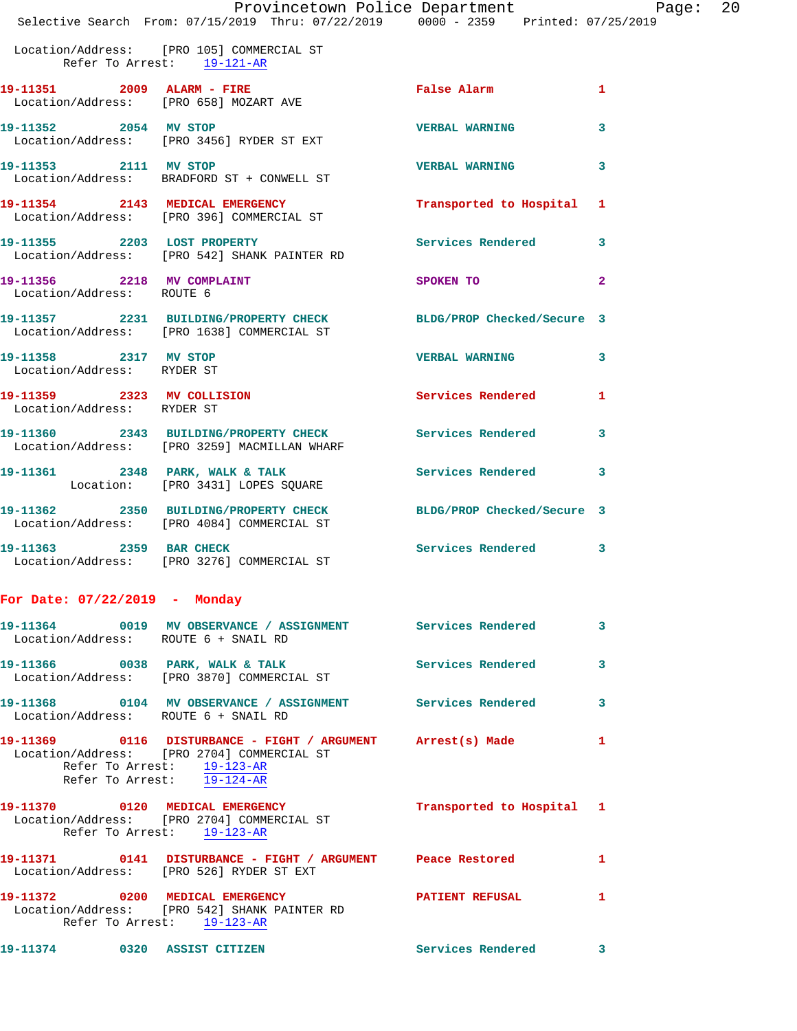|  | Provincetown Police Department                     | Page:                           | - 20 |
|--|----------------------------------------------------|---------------------------------|------|
|  | Selective Search From: 07/15/2019 Thru: 07/22/2019 | 0000 - 2359 Printed: 07/25/2019 |      |

Location/Address: [PRO 105] COMMERCIAL ST

Refer To Arrest: 19-121-AR

| 19-11351 2009 ALARM - FIRE<br>Location/Address: [PRO 658] MOZART AVE |                                                                                                                                                                            | <b>False Alarm</b>                        | $\mathbf{1}$   |
|----------------------------------------------------------------------|----------------------------------------------------------------------------------------------------------------------------------------------------------------------------|-------------------------------------------|----------------|
| 19-11352 2054 MV STOP                                                | Location/Address: [PRO 3456] RYDER ST EXT                                                                                                                                  | <b>VERBAL WARNING</b>                     | 3              |
| 19-11353 2111 MV STOP                                                | Location/Address: BRADFORD ST + CONWELL ST                                                                                                                                 | <b>VERBAL WARNING</b>                     | 3              |
|                                                                      | 19-11354 2143 MEDICAL EMERGENCY<br>Location/Address: [PRO 396] COMMERCIAL ST                                                                                               | Transported to Hospital 1                 |                |
|                                                                      | 19-11355 2203 LOST PROPERTY<br>Location/Address: [PRO 542] SHANK PAINTER RD                                                                                                | Services Rendered 3                       |                |
| 19-11356 2218 MV COMPLAINT<br>Location/Address: ROUTE 6              |                                                                                                                                                                            | SPOKEN TO                                 | $\overline{2}$ |
|                                                                      | 19-11357 2231 BUILDING/PROPERTY CHECK BLDG/PROP Checked/Secure 3<br>Location/Address: [PRO 1638] COMMERCIAL ST                                                             |                                           |                |
| 19-11358 2317 MV STOP<br>Location/Address: RYDER ST                  |                                                                                                                                                                            | <b>VERBAL WARNING</b>                     | 3              |
| 19-11359 2323 MV COLLISION<br>Location/Address: RYDER ST             |                                                                                                                                                                            | Services Rendered                         | $\mathbf{1}$   |
|                                                                      | 19-11360 2343 BUILDING/PROPERTY CHECK<br>Location/Address: [PRO 3259] MACMILLAN WHARF                                                                                      | <b>Services Rendered</b>                  | $\mathbf{3}$   |
|                                                                      | 19-11361 2348 PARK, WALK & TALK<br>Location: [PRO 3431] LOPES SQUARE                                                                                                       | Services Rendered                         | 3              |
|                                                                      | 19-11362 2350 BUILDING/PROPERTY CHECK<br>Location/Address: [PRO 4084] COMMERCIAL ST                                                                                        | BLDG/PROP Checked/Secure 3                |                |
| 19-11363 2359 BAR CHECK                                              | Location/Address: [PRO 3276] COMMERCIAL ST                                                                                                                                 | Services Rendered 3                       |                |
| For Date: $07/22/2019$ - Monday                                      |                                                                                                                                                                            |                                           |                |
| Location/Address: ROUTE 6 + SNAIL RD                                 | 19-11364 0019 MV OBSERVANCE / ASSIGNMENT Services Rendered 3                                                                                                               |                                           |                |
|                                                                      | Location/Address: [PRO 3870] COMMERCIAL ST                                                                                                                                 |                                           |                |
| Location/Address: ROUTE 6 + SNAIL RD                                 | 19-11368 0104 MV OBSERVANCE / ASSIGNMENT Services Rendered 3                                                                                                               |                                           |                |
|                                                                      | 19-11369      0116 DISTURBANCE - FIGHT / ARGUMENT Arrest(s) Made<br>Location/Address: [PRO 2704] COMMERCIAL ST<br>Refer To Arrest: 19-123-AR<br>Refer To Arrest: 19-124-AR |                                           |                |
| 19-11370 0120 MEDICAL EMERGENCY                                      | Location/Address: [PRO 2704] COMMERCIAL ST<br>Refer To Arrest: 19-123-AR                                                                                                   | Transported to Hospital 1                 |                |
|                                                                      | Location/Address: [PRO 526] RYDER ST EXT                                                                                                                                   |                                           | $\mathbf{1}$   |
| 19-11372 0200 MEDICAL EMERGENCY                                      | Location/Address: [PRO 542] SHANK PAINTER RD<br>Refer To Arrest: 19-123-AR                                                                                                 | <b>PATIENT REFUSAL</b><br>$\sim$ $\sim$ 1 |                |
|                                                                      |                                                                                                                                                                            |                                           |                |

**19-11374 0320 ASSIST CITIZEN Services Rendered 3**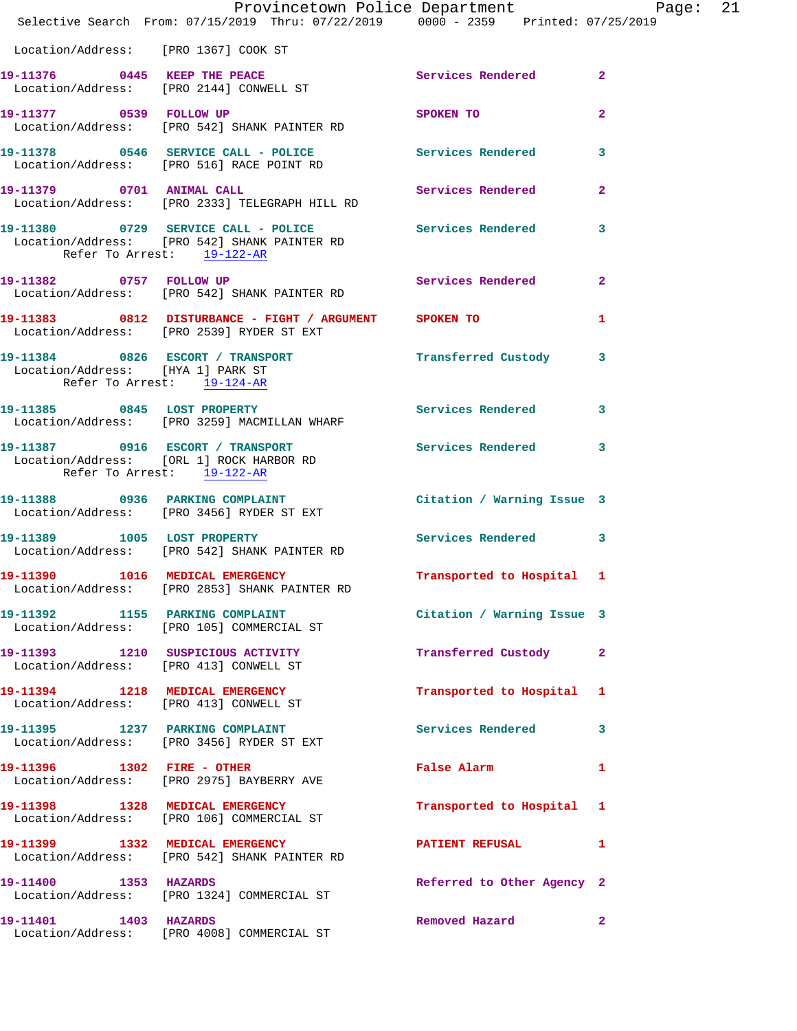|                                                                 | Provincetown Police Department Page: 21<br>Selective Search From: 07/15/2019 Thru: 07/22/2019 0000 - 2359 Printed: 07/25/2019 |                                                     |                |  |
|-----------------------------------------------------------------|-------------------------------------------------------------------------------------------------------------------------------|-----------------------------------------------------|----------------|--|
| Location/Address: [PRO 1367] COOK ST                            |                                                                                                                               |                                                     |                |  |
|                                                                 | 19-11376 0445 KEEP THE PEACE<br>Location/Address: [PRO 2144] CONWELL ST                                                       | Services Rendered 2                                 |                |  |
|                                                                 | 19-11377 0539 FOLLOW UP<br>Location/Address: [PRO 542] SHANK PAINTER RD                                                       | SPOKEN TO                                           | $\mathbf{2}$   |  |
|                                                                 | 19-11378 0546 SERVICE CALL - POLICE Services Rendered 3<br>Location/Address: [PRO 516] RACE POINT RD                          |                                                     |                |  |
|                                                                 | 19-11379 0701 ANIMAL CALL<br>Location/Address: [PRO 2333] TELEGRAPH HILL RD                                                   | Services Rendered                                   | $\mathbf{2}$   |  |
| Refer To Arrest: 19-122-AR                                      | 19-11380 0729 SERVICE CALL - POLICE Services Rendered 3<br>Location/Address: [PRO 542] SHANK PAINTER RD                       |                                                     |                |  |
|                                                                 | 19-11382 0757 FOLLOW UP<br>Location/Address: [PRO 542] SHANK PAINTER RD                                                       | Services Rendered 2                                 |                |  |
|                                                                 | 19-11383 0812 DISTURBANCE - FIGHT / ARGUMENT SPOKEN TO<br>Location/Address: [PRO 2539] RYDER ST EXT                           |                                                     | 1              |  |
| Location/Address: [HYA 1] PARK ST<br>Refer To Arrest: 19-124-AR | 19-11384 0826 ESCORT / TRANSPORT <b>Fransferred Custody</b> 3                                                                 |                                                     |                |  |
|                                                                 | 19-11385 0845 LOST PROPERTY<br>Location/Address: [PRO 3259] MACMILLAN WHARF                                                   | Services Rendered 3                                 |                |  |
| Refer To Arrest: 19-122-AR                                      | 19-11387 0916 ESCORT / TRANSPORT Services Rendered 3<br>Location/Address: [ORL 1] ROCK HARBOR RD                              |                                                     |                |  |
|                                                                 | 19-11388 0936 PARKING COMPLAINT<br>Location/Address: [PRO 3456] RYDER ST EXT                                                  | Citation / Warning Issue 3                          |                |  |
|                                                                 | 19-11389 1005 LOST PROPERTY<br>Location/Address: [PRO 542] SHANK PAINTER RD                                                   | Services Rendered 3                                 |                |  |
| 19-11390 1016 MEDICAL EMERGENCY                                 | Location/Address: [PRO 2853] SHANK PAINTER RD                                                                                 | Transported to Hospital 1                           |                |  |
|                                                                 | 19-11392 1155 PARKING COMPLAINT<br>Location/Address: [PRO 105] COMMERCIAL ST                                                  | Citation / Warning Issue 3                          |                |  |
|                                                                 | 19-11393 1210 SUSPICIOUS ACTIVITY<br>Location/Address: [PRO 413] CONWELL ST                                                   | Transferred Custody 2                               |                |  |
|                                                                 | 19-11394 1218 MEDICAL EMERGENCY<br>Location/Address: [PRO 413] CONWELL ST                                                     | Transported to Hospital 1                           |                |  |
|                                                                 | 19-11395 1237 PARKING COMPLAINT<br>Location/Address: [PRO 3456] RYDER ST EXT                                                  | Services Rendered 3                                 |                |  |
|                                                                 | 19-11396   1302   FIRE - OTHER<br>Location/Address: [PRO 2975] BAYBERRY AVE                                                   | False Alarm <b>Exercise Service Service Service</b> | 1              |  |
|                                                                 | 19-11398 1328 MEDICAL EMERGENCY<br>Location/Address: [PRO 106] COMMERCIAL ST                                                  | Transported to Hospital 1                           |                |  |
|                                                                 | 19-11399 1332 MEDICAL EMERGENCY<br>Location/Address: [PRO 542] SHANK PAINTER RD                                               | <b>PATIENT REFUSAL</b>                              | 1              |  |
| 19-11400 1353 HAZARDS                                           | Location/Address: [PRO 1324] COMMERCIAL ST                                                                                    | Referred to Other Agency 2                          |                |  |
| 19-11401 1403 HAZARDS                                           | Location/Address: [PRO 4008] COMMERCIAL ST                                                                                    | Removed Hazard                                      | $\overline{2}$ |  |
|                                                                 |                                                                                                                               |                                                     |                |  |